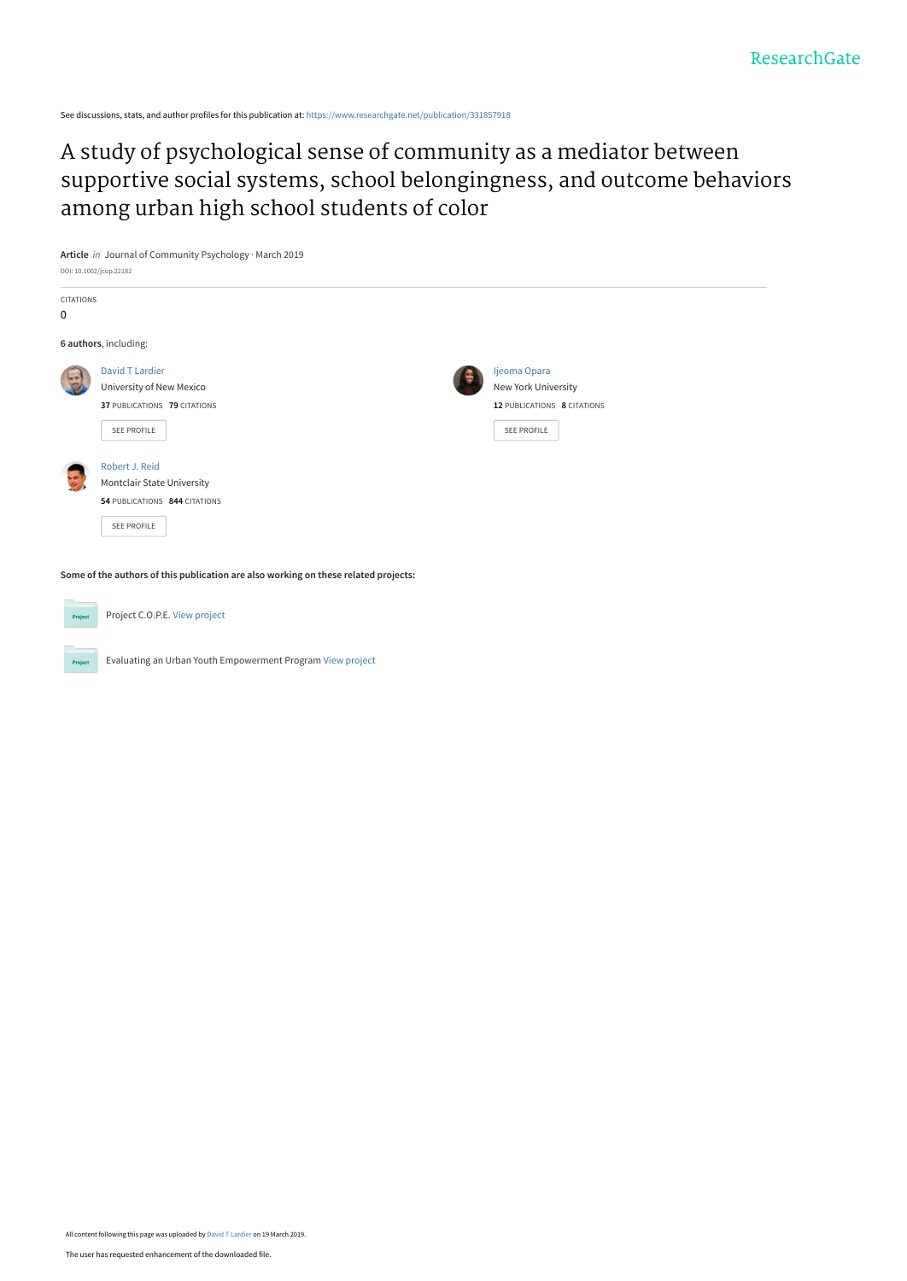See discussions, stats, and author profiles for this publication at: [https://www.researchgate.net/publication/331857918](https://www.researchgate.net/publication/331857918_A_study_of_psychological_sense_of_community_as_a_mediator_between_supportive_social_systems_school_belongingness_and_outcome_behaviors_among_urban_high_school_students_of_color?enrichId=rgreq-232345ac37aae0a9866858bf5b02a2ae-XXX&enrichSource=Y292ZXJQYWdlOzMzMTg1NzkxODtBUzo3Mzc5ODk0OTE3MDM4MDhAMTU1Mjk2MTgxNDY0Ng%3D%3D&el=1_x_2&_esc=publicationCoverPdf)

Evaluating an Urban Youth Empowerment Program [View project](https://www.researchgate.net/project/Evaluating-an-Urban-Youth-Empowerment-Program?enrichId=rgreq-232345ac37aae0a9866858bf5b02a2ae-XXX&enrichSource=Y292ZXJQYWdlOzMzMTg1NzkxODtBUzo3Mzc5ODk0OTE3MDM4MDhAMTU1Mjk2MTgxNDY0Ng%3D%3D&el=1_x_9&_esc=publicationCoverPdf)

A study of psychological sense of community as a mediator between [supportive social systems, school belongingness, and outcome behaviors](https://www.researchgate.net/publication/331857918_A_study_of_psychological_sense_of_community_as_a_mediator_between_supportive_social_systems_school_belongingness_and_outcome_behaviors_among_urban_high_school_students_of_color?enrichId=rgreq-232345ac37aae0a9866858bf5b02a2ae-XXX&enrichSource=Y292ZXJQYWdlOzMzMTg1NzkxODtBUzo3Mzc5ODk0OTE3MDM4MDhAMTU1Mjk2MTgxNDY0Ng%3D%3D&el=1_x_3&_esc=publicationCoverPdf) among urban high school students of color

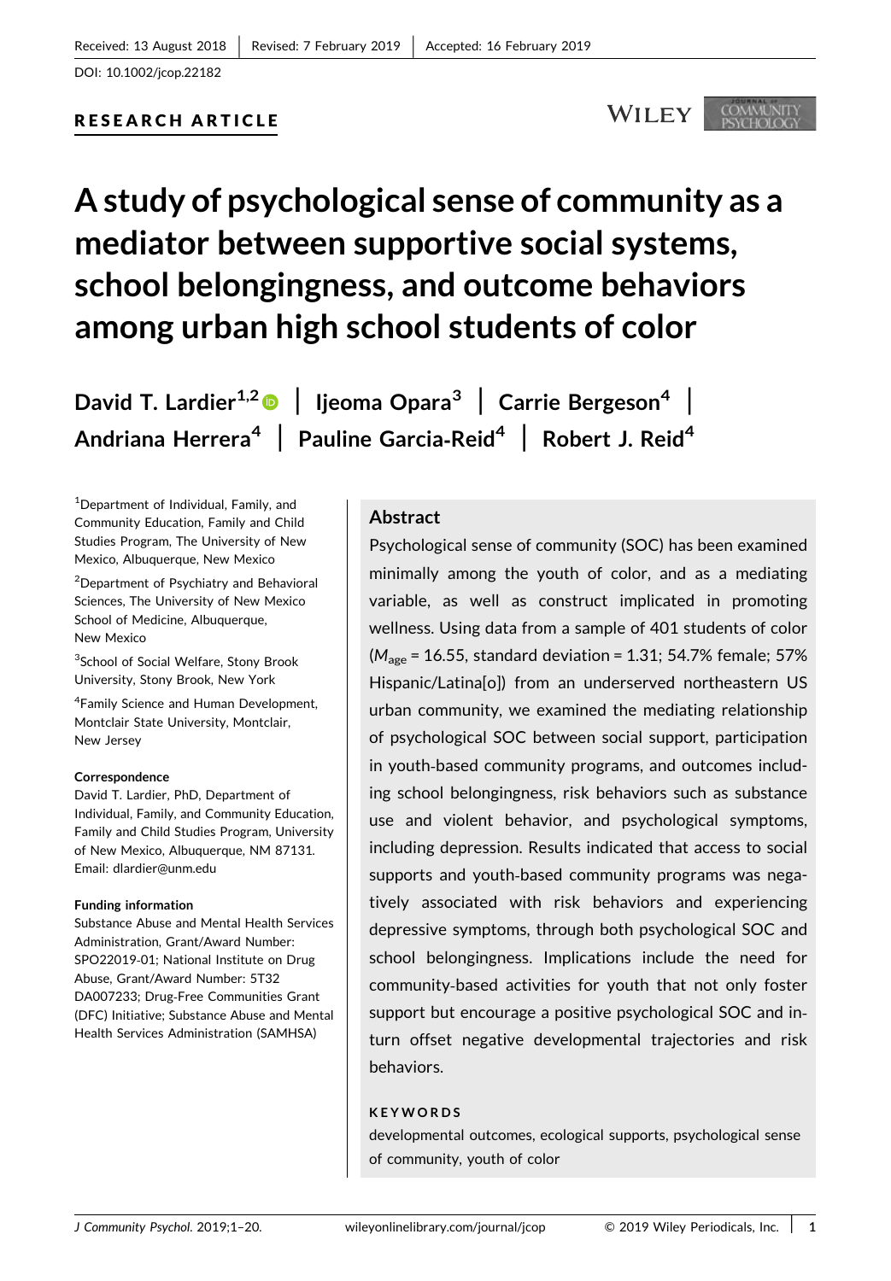# RESEARCH ARTICLE

# **WILEY**

# A study of psychological sense of community as a mediator between supportive social systems, school belongingness, and outcome behaviors among urban high school students of color

David T. Lardier<sup>1,2</sup> | Ijeoma Opara<sup>3</sup> | Carrie Bergeson<sup>4</sup> | Andriana Herrera<sup>4</sup> | Pauline Garcia-Reid<sup>4</sup> | Robert J. Reid<sup>4</sup>

1 Department of Individual, Family, and Community Education, Family and Child Studies Program, The University of New Mexico, Albuquerque, New Mexico

2 Department of Psychiatry and Behavioral Sciences, The University of New Mexico School of Medicine, Albuquerque, New Mexico

<sup>3</sup>School of Social Welfare, Stony Brook University, Stony Brook, New York

4 Family Science and Human Development, Montclair State University, Montclair, New Jersey

#### **Correspondence**

David T. Lardier, PhD, Department of Individual, Family, and Community Education, Family and Child Studies Program, University of New Mexico, Albuquerque, NM 87131. Email: dlardier@unm.edu

#### Funding information

Substance Abuse and Mental Health Services Administration, Grant/Award Number: SPO22019‐01; National Institute on Drug Abuse, Grant/Award Number: 5T32 DA007233; Drug‐Free Communities Grant (DFC) Initiative; Substance Abuse and Mental Health Services Administration (SAMHSA)

#### Abstract

Psychological sense of community (SOC) has been examined minimally among the youth of color, and as a mediating variable, as well as construct implicated in promoting wellness. Using data from a sample of 401 students of color  $(M<sub>age</sub> = 16.55, standard deviation = 1.31; 54.7% female; 57%$ Hispanic/Latina[o]) from an underserved northeastern US urban community, we examined the mediating relationship of psychological SOC between social support, participation in youth‐based community programs, and outcomes including school belongingness, risk behaviors such as substance use and violent behavior, and psychological symptoms, including depression. Results indicated that access to social supports and youth‐based community programs was negatively associated with risk behaviors and experiencing depressive symptoms, through both psychological SOC and school belongingness. Implications include the need for community‐based activities for youth that not only foster support but encourage a positive psychological SOC and in‐ turn offset negative developmental trajectories and risk behaviors.

#### KEYWORDS

developmental outcomes, ecological supports, psychological sense of community, youth of color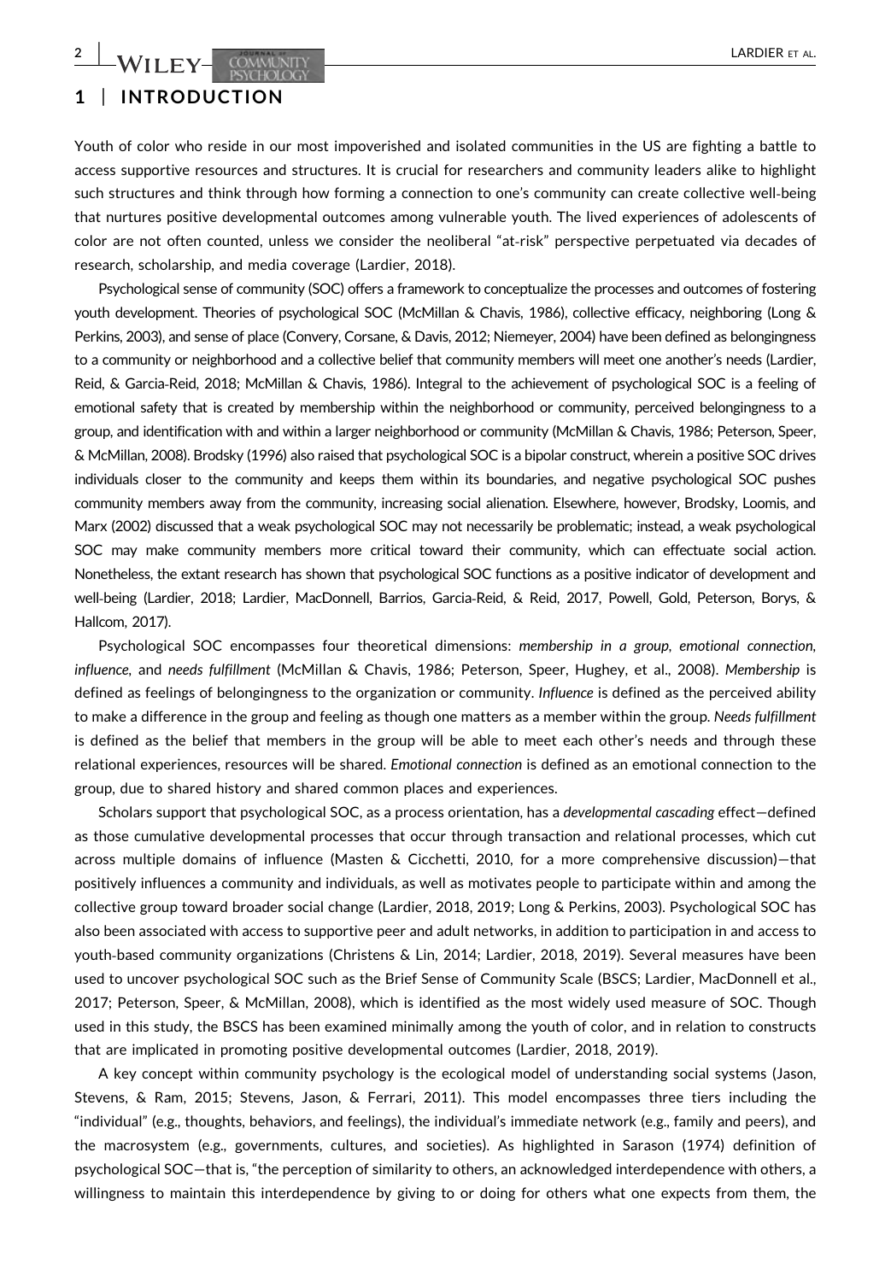# 1 | INTRODUCTION

Youth of color who reside in our most impoverished and isolated communities in the US are fighting a battle to access supportive resources and structures. It is crucial for researchers and community leaders alike to highlight such structures and think through how forming a connection to one's community can create collective well‐being that nurtures positive developmental outcomes among vulnerable youth. The lived experiences of adolescents of color are not often counted, unless we consider the neoliberal "at-risk" perspective perpetuated via decades of research, scholarship, and media coverage (Lardier, 2018).

Psychological sense of community (SOC) offers a framework to conceptualize the processes and outcomes of fostering youth development. Theories of psychological SOC (McMillan & Chavis, 1986), collective efficacy, neighboring (Long & Perkins, 2003), and sense of place (Convery, Corsane, & Davis, 2012; Niemeyer, 2004) have been defined as belongingness to a community or neighborhood and a collective belief that community members will meet one another's needs (Lardier, Reid, & Garcia‐Reid, 2018; McMillan & Chavis, 1986). Integral to the achievement of psychological SOC is a feeling of emotional safety that is created by membership within the neighborhood or community, perceived belongingness to a group, and identification with and within a larger neighborhood or community (McMillan & Chavis, 1986; Peterson, Speer, & McMillan, 2008). Brodsky (1996) also raised that psychological SOC is a bipolar construct, wherein a positive SOC drives individuals closer to the community and keeps them within its boundaries, and negative psychological SOC pushes community members away from the community, increasing social alienation. Elsewhere, however, Brodsky, Loomis, and Marx (2002) discussed that a weak psychological SOC may not necessarily be problematic; instead, a weak psychological SOC may make community members more critical toward their community, which can effectuate social action. Nonetheless, the extant research has shown that psychological SOC functions as a positive indicator of development and well‐being (Lardier, 2018; Lardier, MacDonnell, Barrios, Garcia‐Reid, & Reid, 2017, Powell, Gold, Peterson, Borys, & Hallcom, 2017).

Psychological SOC encompasses four theoretical dimensions: membership in a group, emotional connection, influence, and needs fulfillment (McMillan & Chavis, 1986; Peterson, Speer, Hughey, et al., 2008). Membership is defined as feelings of belongingness to the organization or community. Influence is defined as the perceived ability to make a difference in the group and feeling as though one matters as a member within the group. Needs fulfillment is defined as the belief that members in the group will be able to meet each other's needs and through these relational experiences, resources will be shared. Emotional connection is defined as an emotional connection to the group, due to shared history and shared common places and experiences.

Scholars support that psychological SOC, as a process orientation, has a developmental cascading effect—defined as those cumulative developmental processes that occur through transaction and relational processes, which cut across multiple domains of influence (Masten & Cicchetti, 2010, for a more comprehensive discussion)—that positively influences a community and individuals, as well as motivates people to participate within and among the collective group toward broader social change (Lardier, 2018, 2019; Long & Perkins, 2003). Psychological SOC has also been associated with access to supportive peer and adult networks, in addition to participation in and access to youth-based community organizations (Christens & Lin, 2014; Lardier, 2018, 2019). Several measures have been used to uncover psychological SOC such as the Brief Sense of Community Scale (BSCS; Lardier, MacDonnell et al., 2017; Peterson, Speer, & McMillan, 2008), which is identified as the most widely used measure of SOC. Though used in this study, the BSCS has been examined minimally among the youth of color, and in relation to constructs that are implicated in promoting positive developmental outcomes (Lardier, 2018, 2019).

A key concept within community psychology is the ecological model of understanding social systems (Jason, Stevens, & Ram, 2015; Stevens, Jason, & Ferrari, 2011). This model encompasses three tiers including the "individual" (e.g., thoughts, behaviors, and feelings), the individual's immediate network (e.g., family and peers), and the macrosystem (e.g., governments, cultures, and societies). As highlighted in Sarason (1974) definition of psychological SOC—that is, "the perception of similarity to others, an acknowledged interdependence with others, a willingness to maintain this interdependence by giving to or doing for others what one expects from them, the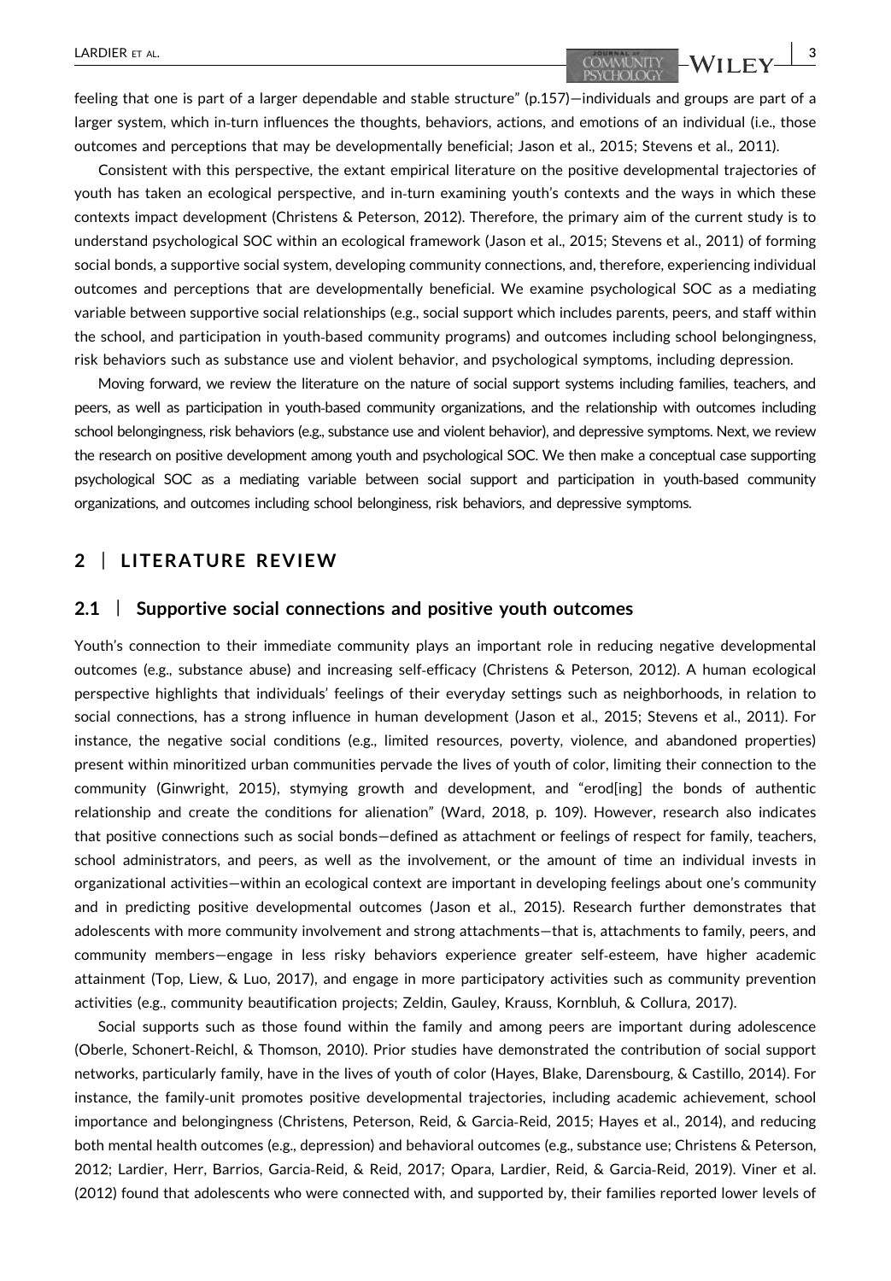feeling that one is part of a larger dependable and stable structure" (p.157)—individuals and groups are part of a larger system, which in-turn influences the thoughts, behaviors, actions, and emotions of an individual (i.e., those outcomes and perceptions that may be developmentally beneficial; Jason et al., 2015; Stevens et al., 2011).

Consistent with this perspective, the extant empirical literature on the positive developmental trajectories of youth has taken an ecological perspective, and in‐turn examining youth's contexts and the ways in which these contexts impact development (Christens & Peterson, 2012). Therefore, the primary aim of the current study is to understand psychological SOC within an ecological framework (Jason et al., 2015; Stevens et al., 2011) of forming social bonds, a supportive social system, developing community connections, and, therefore, experiencing individual outcomes and perceptions that are developmentally beneficial. We examine psychological SOC as a mediating variable between supportive social relationships (e.g., social support which includes parents, peers, and staff within the school, and participation in youth‐based community programs) and outcomes including school belongingness, risk behaviors such as substance use and violent behavior, and psychological symptoms, including depression.

Moving forward, we review the literature on the nature of social support systems including families, teachers, and peers, as well as participation in youth‐based community organizations, and the relationship with outcomes including school belongingness, risk behaviors (e.g., substance use and violent behavior), and depressive symptoms. Next, we review the research on positive development among youth and psychological SOC. We then make a conceptual case supporting psychological SOC as a mediating variable between social support and participation in youth‐based community organizations, and outcomes including school belonginess, risk behaviors, and depressive symptoms.

# 2 | LITERATURE REVIEW

#### 2.1 | Supportive social connections and positive youth outcomes

Youth's connection to their immediate community plays an important role in reducing negative developmental outcomes (e.g., substance abuse) and increasing self‐efficacy (Christens & Peterson, 2012). A human ecological perspective highlights that individuals' feelings of their everyday settings such as neighborhoods, in relation to social connections, has a strong influence in human development (Jason et al., 2015; Stevens et al., 2011). For instance, the negative social conditions (e.g., limited resources, poverty, violence, and abandoned properties) present within minoritized urban communities pervade the lives of youth of color, limiting their connection to the community (Ginwright, 2015), stymying growth and development, and "erod[ing] the bonds of authentic relationship and create the conditions for alienation" (Ward, 2018, p. 109). However, research also indicates that positive connections such as social bonds—defined as attachment or feelings of respect for family, teachers, school administrators, and peers, as well as the involvement, or the amount of time an individual invests in organizational activities—within an ecological context are important in developing feelings about one's community and in predicting positive developmental outcomes (Jason et al., 2015). Research further demonstrates that adolescents with more community involvement and strong attachments—that is, attachments to family, peers, and community members—engage in less risky behaviors experience greater self‐esteem, have higher academic attainment (Top, Liew, & Luo, 2017), and engage in more participatory activities such as community prevention activities (e.g., community beautification projects; Zeldin, Gauley, Krauss, Kornbluh, & Collura, 2017).

Social supports such as those found within the family and among peers are important during adolescence (Oberle, Schonert‐Reichl, & Thomson, 2010). Prior studies have demonstrated the contribution of social support networks, particularly family, have in the lives of youth of color (Hayes, Blake, Darensbourg, & Castillo, 2014). For instance, the family‐unit promotes positive developmental trajectories, including academic achievement, school importance and belongingness (Christens, Peterson, Reid, & Garcia‐Reid, 2015; Hayes et al., 2014), and reducing both mental health outcomes (e.g., depression) and behavioral outcomes (e.g., substance use; Christens & Peterson, 2012; Lardier, Herr, Barrios, Garcia‐Reid, & Reid, 2017; Opara, Lardier, Reid, & Garcia‐Reid, 2019). Viner et al. (2012) found that adolescents who were connected with, and supported by, their families reported lower levels of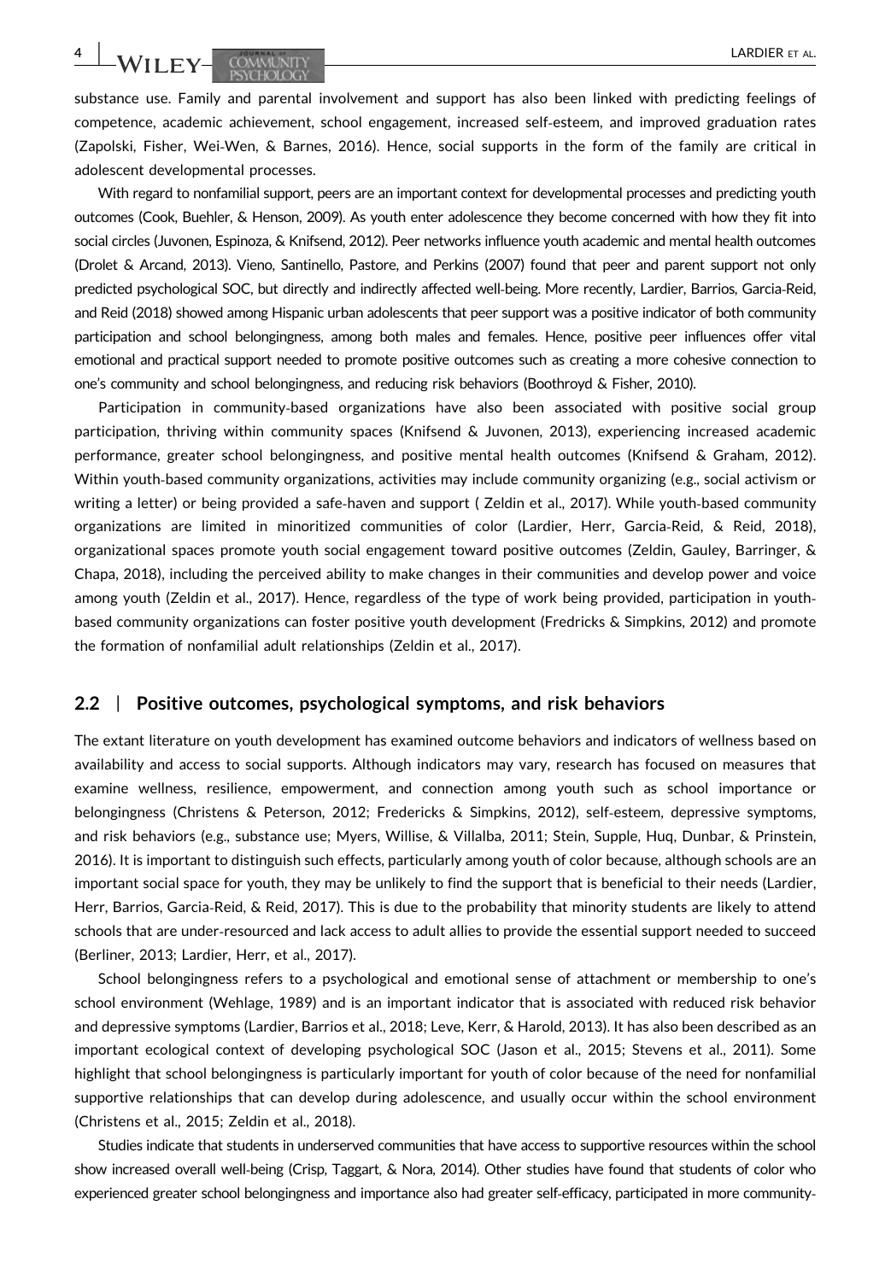WILEY-COMMUNITY **ACCOMMUNITY** 

substance use. Family and parental involvement and support has also been linked with predicting feelings of competence, academic achievement, school engagement, increased self‐esteem, and improved graduation rates (Zapolski, Fisher, Wei‐Wen, & Barnes, 2016). Hence, social supports in the form of the family are critical in adolescent developmental processes.

With regard to nonfamilial support, peers are an important context for developmental processes and predicting youth outcomes (Cook, Buehler, & Henson, 2009). As youth enter adolescence they become concerned with how they fit into social circles (Juvonen, Espinoza, & Knifsend, 2012). Peer networks influence youth academic and mental health outcomes (Drolet & Arcand, 2013). Vieno, Santinello, Pastore, and Perkins (2007) found that peer and parent support not only predicted psychological SOC, but directly and indirectly affected well‐being. More recently, Lardier, Barrios, Garcia‐Reid, and Reid (2018) showed among Hispanic urban adolescents that peer support was a positive indicator of both community participation and school belongingness, among both males and females. Hence, positive peer influences offer vital emotional and practical support needed to promote positive outcomes such as creating a more cohesive connection to one's community and school belongingness, and reducing risk behaviors (Boothroyd & Fisher, 2010).

Participation in community‐based organizations have also been associated with positive social group participation, thriving within community spaces (Knifsend & Juvonen, 2013), experiencing increased academic performance, greater school belongingness, and positive mental health outcomes (Knifsend & Graham, 2012). Within youth‐based community organizations, activities may include community organizing (e.g., social activism or writing a letter) or being provided a safe‐haven and support ( Zeldin et al., 2017). While youth‐based community organizations are limited in minoritized communities of color (Lardier, Herr, Garcia‐Reid, & Reid, 2018), organizational spaces promote youth social engagement toward positive outcomes (Zeldin, Gauley, Barringer, & Chapa, 2018), including the perceived ability to make changes in their communities and develop power and voice among youth (Zeldin et al., 2017). Hence, regardless of the type of work being provided, participation in youth‐ based community organizations can foster positive youth development (Fredricks & Simpkins, 2012) and promote the formation of nonfamilial adult relationships (Zeldin et al., 2017).

#### 2.2 | Positive outcomes, psychological symptoms, and risk behaviors

The extant literature on youth development has examined outcome behaviors and indicators of wellness based on availability and access to social supports. Although indicators may vary, research has focused on measures that examine wellness, resilience, empowerment, and connection among youth such as school importance or belongingness (Christens & Peterson, 2012; Fredericks & Simpkins, 2012), self‐esteem, depressive symptoms, and risk behaviors (e.g., substance use; Myers, Willise, & Villalba, 2011; Stein, Supple, Huq, Dunbar, & Prinstein, 2016). It is important to distinguish such effects, particularly among youth of color because, although schools are an important social space for youth, they may be unlikely to find the support that is beneficial to their needs (Lardier, Herr, Barrios, Garcia‐Reid, & Reid, 2017). This is due to the probability that minority students are likely to attend schools that are under‐resourced and lack access to adult allies to provide the essential support needed to succeed (Berliner, 2013; Lardier, Herr, et al., 2017).

School belongingness refers to a psychological and emotional sense of attachment or membership to one's school environment (Wehlage, 1989) and is an important indicator that is associated with reduced risk behavior and depressive symptoms (Lardier, Barrios et al., 2018; Leve, Kerr, & Harold, 2013). It has also been described as an important ecological context of developing psychological SOC (Jason et al., 2015; Stevens et al., 2011). Some highlight that school belongingness is particularly important for youth of color because of the need for nonfamilial supportive relationships that can develop during adolescence, and usually occur within the school environment (Christens et al., 2015; Zeldin et al., 2018).

Studies indicate that students in underserved communities that have access to supportive resources within the school show increased overall well-being (Crisp, Taggart, & Nora, 2014). Other studies have found that students of color who experienced greater school belongingness and importance also had greater self-efficacy, participated in more community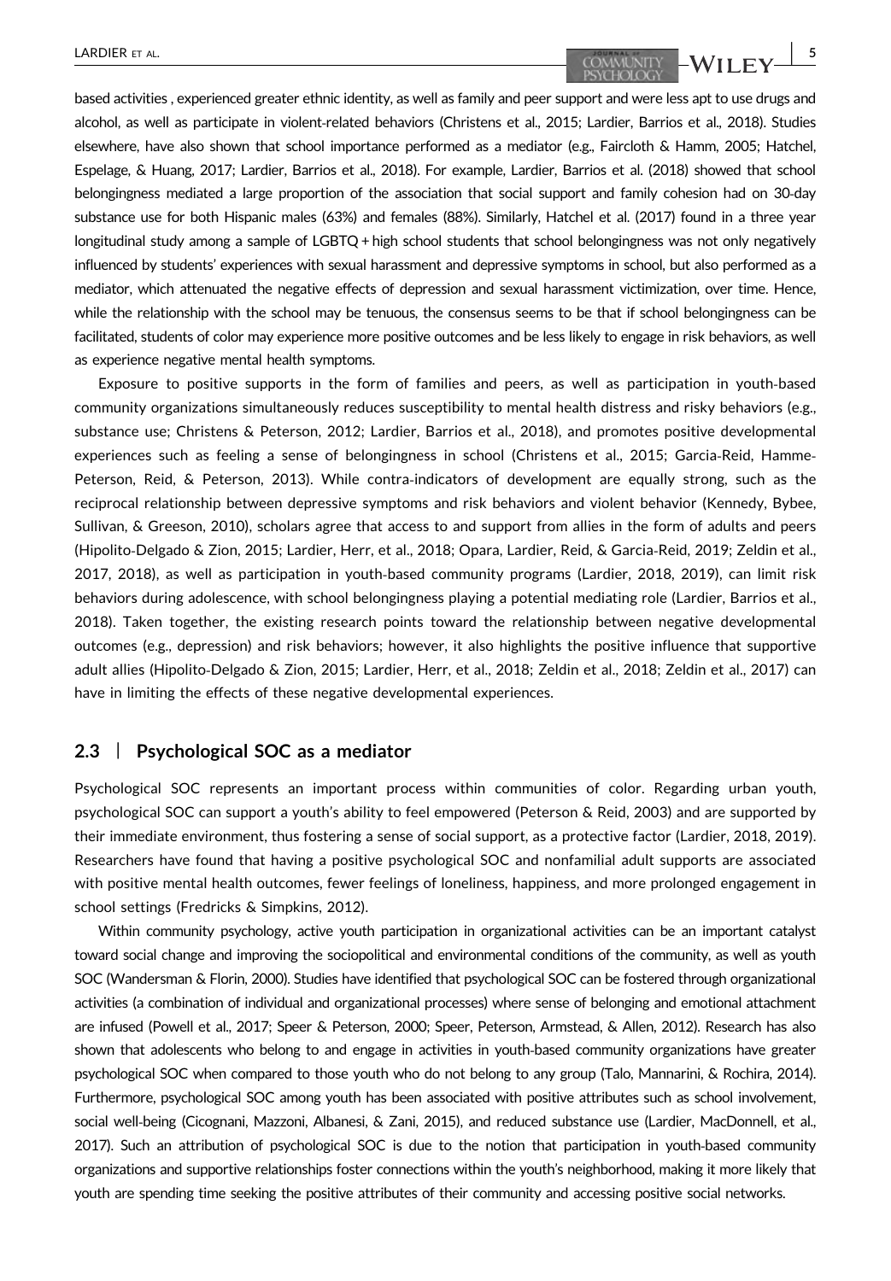based activities , experienced greater ethnic identity, as well as family and peer support and were less apt to use drugs and alcohol, as well as participate in violent‐related behaviors (Christens et al., 2015; Lardier, Barrios et al., 2018). Studies elsewhere, have also shown that school importance performed as a mediator (e.g., Faircloth & Hamm, 2005; Hatchel, Espelage, & Huang, 2017; Lardier, Barrios et al., 2018). For example, Lardier, Barrios et al. (2018) showed that school belongingness mediated a large proportion of the association that social support and family cohesion had on 30‐day substance use for both Hispanic males (63%) and females (88%). Similarly, Hatchel et al. (2017) found in a three year longitudinal study among a sample of LGBTQ + high school students that school belongingness was not only negatively influenced by students' experiences with sexual harassment and depressive symptoms in school, but also performed as a mediator, which attenuated the negative effects of depression and sexual harassment victimization, over time. Hence, while the relationship with the school may be tenuous, the consensus seems to be that if school belongingness can be facilitated, students of color may experience more positive outcomes and be less likely to engage in risk behaviors, as well as experience negative mental health symptoms.

Exposure to positive supports in the form of families and peers, as well as participation in youth‐based community organizations simultaneously reduces susceptibility to mental health distress and risky behaviors (e.g., substance use; Christens & Peterson, 2012; Lardier, Barrios et al., 2018), and promotes positive developmental experiences such as feeling a sense of belongingness in school (Christens et al., 2015; Garcia-Reid, Hamme-Peterson, Reid, & Peterson, 2013). While contra-indicators of development are equally strong, such as the reciprocal relationship between depressive symptoms and risk behaviors and violent behavior (Kennedy, Bybee, Sullivan, & Greeson, 2010), scholars agree that access to and support from allies in the form of adults and peers (Hipolito‐Delgado & Zion, 2015; Lardier, Herr, et al., 2018; Opara, Lardier, Reid, & Garcia‐Reid, 2019; Zeldin et al., 2017, 2018), as well as participation in youth‐based community programs (Lardier, 2018, 2019), can limit risk behaviors during adolescence, with school belongingness playing a potential mediating role (Lardier, Barrios et al., 2018). Taken together, the existing research points toward the relationship between negative developmental outcomes (e.g., depression) and risk behaviors; however, it also highlights the positive influence that supportive adult allies (Hipolito‐Delgado & Zion, 2015; Lardier, Herr, et al., 2018; Zeldin et al., 2018; Zeldin et al., 2017) can have in limiting the effects of these negative developmental experiences.

#### 2.3 | Psychological SOC as a mediator

Psychological SOC represents an important process within communities of color. Regarding urban youth, psychological SOC can support a youth's ability to feel empowered (Peterson & Reid, 2003) and are supported by their immediate environment, thus fostering a sense of social support, as a protective factor (Lardier, 2018, 2019). Researchers have found that having a positive psychological SOC and nonfamilial adult supports are associated with positive mental health outcomes, fewer feelings of loneliness, happiness, and more prolonged engagement in school settings (Fredricks & Simpkins, 2012).

Within community psychology, active youth participation in organizational activities can be an important catalyst toward social change and improving the sociopolitical and environmental conditions of the community, as well as youth SOC (Wandersman & Florin, 2000). Studies have identified that psychological SOC can be fostered through organizational activities (a combination of individual and organizational processes) where sense of belonging and emotional attachment are infused (Powell et al., 2017; Speer & Peterson, 2000; Speer, Peterson, Armstead, & Allen, 2012). Research has also shown that adolescents who belong to and engage in activities in youth-based community organizations have greater psychological SOC when compared to those youth who do not belong to any group (Talo, Mannarini, & Rochira, 2014). Furthermore, psychological SOC among youth has been associated with positive attributes such as school involvement, social well-being (Cicognani, Mazzoni, Albanesi, & Zani, 2015), and reduced substance use (Lardier, MacDonnell, et al., 2017). Such an attribution of psychological SOC is due to the notion that participation in youth‐based community organizations and supportive relationships foster connections within the youth's neighborhood, making it more likely that youth are spending time seeking the positive attributes of their community and accessing positive social networks.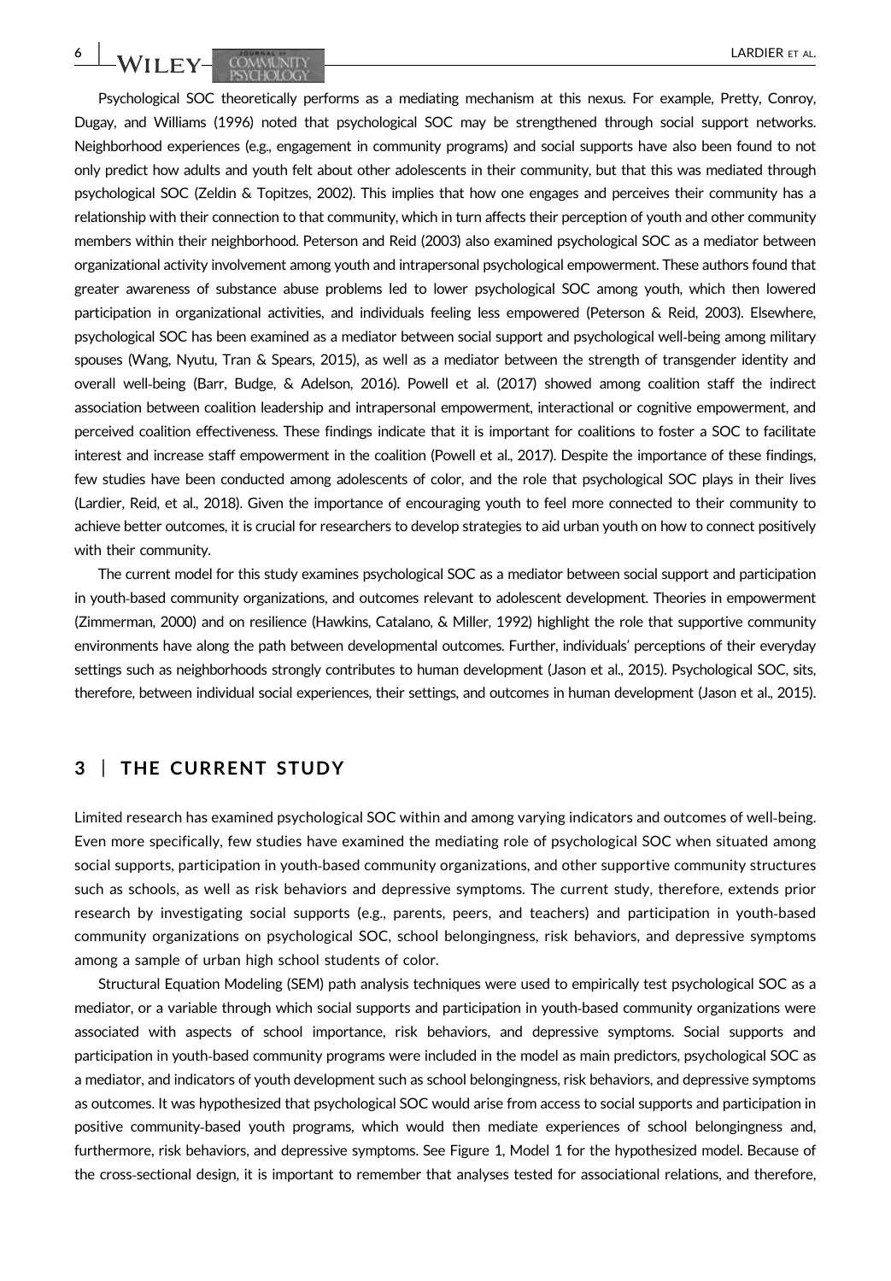Psychological SOC theoretically performs as a mediating mechanism at this nexus. For example, Pretty, Conroy, Dugay, and Williams (1996) noted that psychological SOC may be strengthened through social support networks. Neighborhood experiences (e.g., engagement in community programs) and social supports have also been found to not only predict how adults and youth felt about other adolescents in their community, but that this was mediated through psychological SOC (Zeldin & Topitzes, 2002). This implies that how one engages and perceives their community has a relationship with their connection to that community, which in turn affects their perception of youth and other community members within their neighborhood. Peterson and Reid (2003) also examined psychological SOC as a mediator between organizational activity involvement among youth and intrapersonal psychological empowerment. These authors found that greater awareness of substance abuse problems led to lower psychological SOC among youth, which then lowered participation in organizational activities, and individuals feeling less empowered (Peterson & Reid, 2003). Elsewhere, psychological SOC has been examined as a mediator between social support and psychological well‐being among military spouses (Wang, Nyutu, Tran & Spears, 2015), as well as a mediator between the strength of transgender identity and overall well‐being (Barr, Budge, & Adelson, 2016). Powell et al. (2017) showed among coalition staff the indirect association between coalition leadership and intrapersonal empowerment, interactional or cognitive empowerment, and perceived coalition effectiveness. These findings indicate that it is important for coalitions to foster a SOC to facilitate interest and increase staff empowerment in the coalition (Powell et al., 2017). Despite the importance of these findings, few studies have been conducted among adolescents of color, and the role that psychological SOC plays in their lives (Lardier, Reid, et al., 2018). Given the importance of encouraging youth to feel more connected to their community to achieve better outcomes, it is crucial for researchers to develop strategies to aid urban youth on how to connect positively with their community.

The current model for this study examines psychological SOC as a mediator between social support and participation in youth-based community organizations, and outcomes relevant to adolescent development. Theories in empowerment (Zimmerman, 2000) and on resilience (Hawkins, Catalano, & Miller, 1992) highlight the role that supportive community environments have along the path between developmental outcomes. Further, individuals' perceptions of their everyday settings such as neighborhoods strongly contributes to human development (Jason et al., 2015). Psychological SOC, sits, therefore, between individual social experiences, their settings, and outcomes in human development (Jason et al., 2015).

# 3 | THE CURRENT STUDY

Limited research has examined psychological SOC within and among varying indicators and outcomes of well‐being. Even more specifically, few studies have examined the mediating role of psychological SOC when situated among social supports, participation in youth‐based community organizations, and other supportive community structures such as schools, as well as risk behaviors and depressive symptoms. The current study, therefore, extends prior research by investigating social supports (e.g., parents, peers, and teachers) and participation in youth‐based community organizations on psychological SOC, school belongingness, risk behaviors, and depressive symptoms among a sample of urban high school students of color.

Structural Equation Modeling (SEM) path analysis techniques were used to empirically test psychological SOC as a mediator, or a variable through which social supports and participation in youth-based community organizations were associated with aspects of school importance, risk behaviors, and depressive symptoms. Social supports and participation in youth‐based community programs were included in the model as main predictors, psychological SOC as a mediator, and indicators of youth development such as school belongingness, risk behaviors, and depressive symptoms as outcomes. It was hypothesized that psychological SOC would arise from access to social supports and participation in positive community‐based youth programs, which would then mediate experiences of school belongingness and, furthermore, risk behaviors, and depressive symptoms. See Figure 1, Model 1 for the hypothesized model. Because of the cross‐sectional design, it is important to remember that analyses tested for associational relations, and therefore,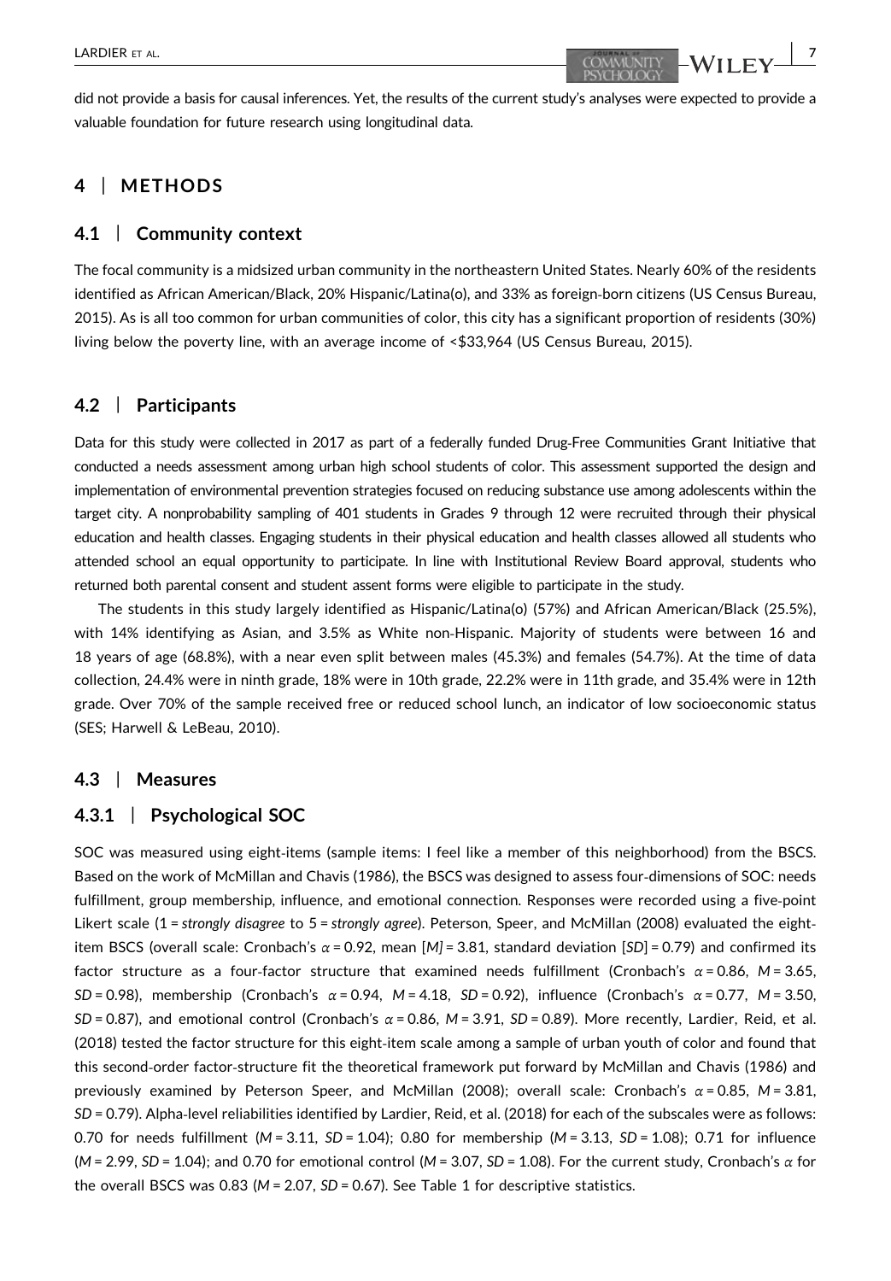did not provide a basis for causal inferences. Yet, the results of the current study's analyses were expected to provide a valuable foundation for future research using longitudinal data.

# 4 | METHODS

#### 4.1 | Community context

The focal community is a midsized urban community in the northeastern United States. Nearly 60% of the residents identified as African American/Black, 20% Hispanic/Latina(o), and 33% as foreign‐born citizens (US Census Bureau, 2015). As is all too common for urban communities of color, this city has a significant proportion of residents (30%) living below the poverty line, with an average income of <\$33,964 (US Census Bureau, 2015).

# 4.2 | Participants

Data for this study were collected in 2017 as part of a federally funded Drug‐Free Communities Grant Initiative that conducted a needs assessment among urban high school students of color. This assessment supported the design and implementation of environmental prevention strategies focused on reducing substance use among adolescents within the target city. A nonprobability sampling of 401 students in Grades 9 through 12 were recruited through their physical education and health classes. Engaging students in their physical education and health classes allowed all students who attended school an equal opportunity to participate. In line with Institutional Review Board approval, students who returned both parental consent and student assent forms were eligible to participate in the study.

The students in this study largely identified as Hispanic/Latina(o) (57%) and African American/Black (25.5%), with 14% identifying as Asian, and 3.5% as White non-Hispanic. Majority of students were between 16 and 18 years of age (68.8%), with a near even split between males (45.3%) and females (54.7%). At the time of data collection, 24.4% were in ninth grade, 18% were in 10th grade, 22.2% were in 11th grade, and 35.4% were in 12th grade. Over 70% of the sample received free or reduced school lunch, an indicator of low socioeconomic status (SES; Harwell & LeBeau, 2010).

#### 4.3 | Measures

#### 4.3.1 | Psychological SOC

SOC was measured using eight‐items (sample items: I feel like a member of this neighborhood) from the BSCS. Based on the work of McMillan and Chavis (1986), the BSCS was designed to assess four-dimensions of SOC: needs fulfillment, group membership, influence, and emotional connection. Responses were recorded using a five‐point Likert scale (1 = strongly disagree to 5 = strongly agree). Peterson, Speer, and McMillan (2008) evaluated the eightitem BSCS (overall scale: Cronbach's  $\alpha$  = 0.92, mean [M] = 3.81, standard deviation [SD] = 0.79) and confirmed its factor structure as a four-factor structure that examined needs fulfillment (Cronbach's  $\alpha$  = 0.86, M = 3.65, SD = 0.98), membership (Cronbach's  $\alpha$  = 0.94, M = 4.18, SD = 0.92), influence (Cronbach's  $\alpha$  = 0.77, M = 3.50,  $SD = 0.87$ ), and emotional control (Cronbach's  $\alpha = 0.86$ ,  $M = 3.91$ ,  $SD = 0.89$ ). More recently, Lardier, Reid, et al. (2018) tested the factor structure for this eight‐item scale among a sample of urban youth of color and found that this second‐order factor‐structure fit the theoretical framework put forward by McMillan and Chavis (1986) and previously examined by Peterson Speer, and McMillan (2008); overall scale: Cronbach's  $\alpha$  = 0.85, M = 3.81, SD = 0.79). Alpha‐level reliabilities identified by Lardier, Reid, et al. (2018) for each of the subscales were as follows: 0.70 for needs fulfillment ( $M = 3.11$ ,  $SD = 1.04$ ); 0.80 for membership ( $M = 3.13$ ,  $SD = 1.08$ ); 0.71 for influence  $(M = 2.99, SD = 1.04)$ ; and 0.70 for emotional control  $(M = 3.07, SD = 1.08)$ . For the current study, Cronbach's  $\alpha$  for the overall BSCS was 0.83 ( $M = 2.07$ , SD = 0.67). See Table 1 for descriptive statistics.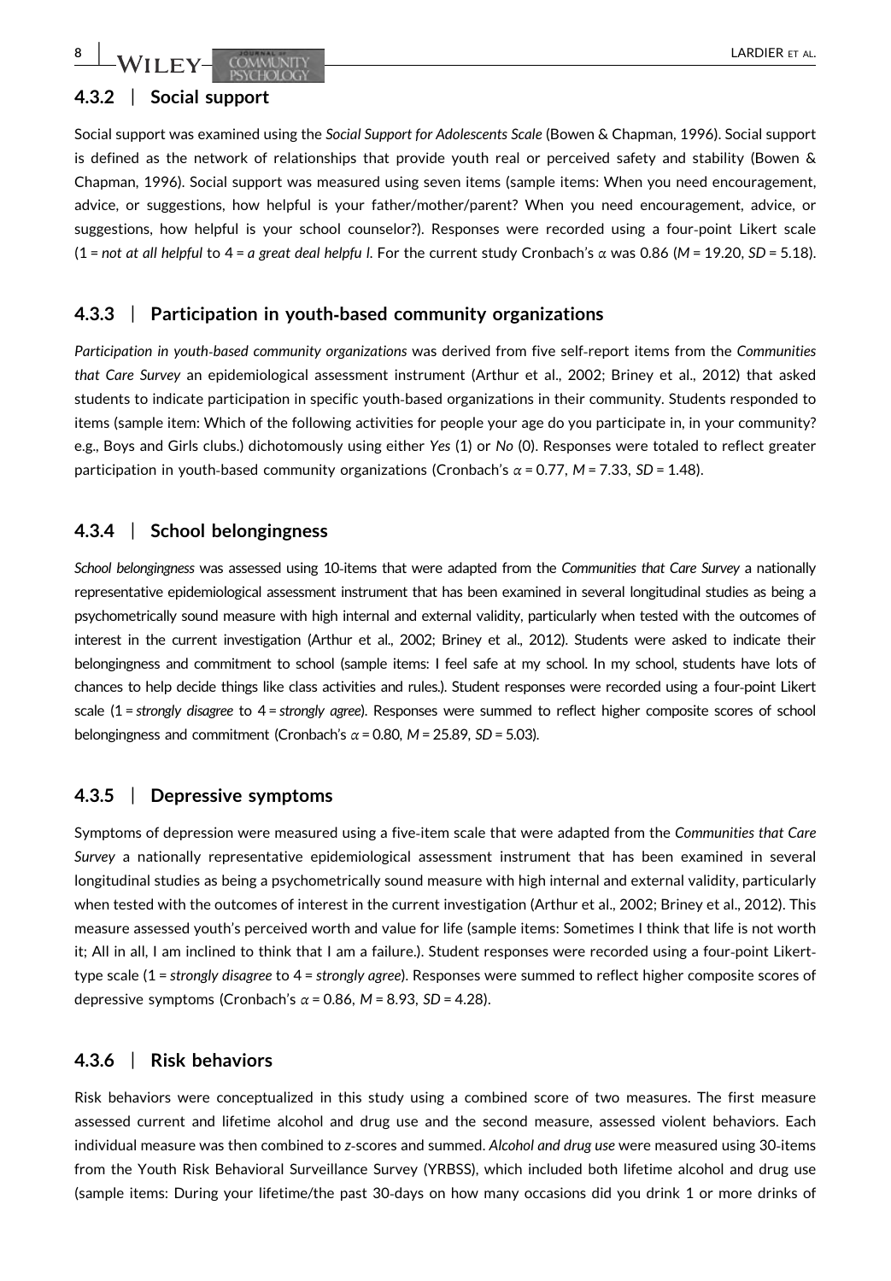# 4.3.2 | Social support

Social support was examined using the Social Support for Adolescents Scale (Bowen & Chapman, 1996). Social support is defined as the network of relationships that provide youth real or perceived safety and stability (Bowen & Chapman, 1996). Social support was measured using seven items (sample items: When you need encouragement, advice, or suggestions, how helpful is your father/mother/parent? When you need encouragement, advice, or suggestions, how helpful is your school counselor?). Responses were recorded using a four‐point Likert scale (1 = not at all helpful to 4 = a great deal helpfu l. For the current study Cronbach's  $\alpha$  was 0.86 (M = 19.20, SD = 5.18).

# 4.3.3 | Participation in youth-based community organizations

Participation in youth-based community organizations was derived from five self-report items from the Communities that Care Survey an epidemiological assessment instrument (Arthur et al., 2002; Briney et al., 2012) that asked students to indicate participation in specific youth‐based organizations in their community. Students responded to items (sample item: Which of the following activities for people your age do you participate in, in your community? e.g., Boys and Girls clubs.) dichotomously using either Yes (1) or No (0). Responses were totaled to reflect greater participation in youth-based community organizations (Cronbach's  $\alpha$  = 0.77, M = 7.33, SD = 1.48).

# 4.3.4 | School belongingness

School belongingness was assessed using 10-items that were adapted from the Communities that Care Survey a nationally representative epidemiological assessment instrument that has been examined in several longitudinal studies as being a psychometrically sound measure with high internal and external validity, particularly when tested with the outcomes of interest in the current investigation (Arthur et al., 2002; Briney et al., 2012). Students were asked to indicate their belongingness and commitment to school (sample items: I feel safe at my school. In my school, students have lots of chances to help decide things like class activities and rules.). Student responses were recorded using a four‐point Likert scale (1 = strongly disagree to 4 = strongly agree). Responses were summed to reflect higher composite scores of school belongingness and commitment (Cronbach's  $\alpha$  = 0.80, M = 25.89, SD = 5.03).

# 4.3.5 | Depressive symptoms

Symptoms of depression were measured using a five‐item scale that were adapted from the Communities that Care Survey a nationally representative epidemiological assessment instrument that has been examined in several longitudinal studies as being a psychometrically sound measure with high internal and external validity, particularly when tested with the outcomes of interest in the current investigation (Arthur et al., 2002; Briney et al., 2012). This measure assessed youth's perceived worth and value for life (sample items: Sometimes I think that life is not worth it; All in all, I am inclined to think that I am a failure.). Student responses were recorded using a four‐point Likert‐ type scale (1 = strongly disagree to 4 = strongly agree). Responses were summed to reflect higher composite scores of depressive symptoms (Cronbach's  $\alpha$  = 0.86, M = 8.93, SD = 4.28).

# 4.3.6 | Risk behaviors

Risk behaviors were conceptualized in this study using a combined score of two measures. The first measure assessed current and lifetime alcohol and drug use and the second measure, assessed violent behaviors. Each individual measure was then combined to z-scores and summed. Alcohol and drug use were measured using 30-items from the Youth Risk Behavioral Surveillance Survey (YRBSS), which included both lifetime alcohol and drug use (sample items: During your lifetime/the past 30‐days on how many occasions did you drink 1 or more drinks of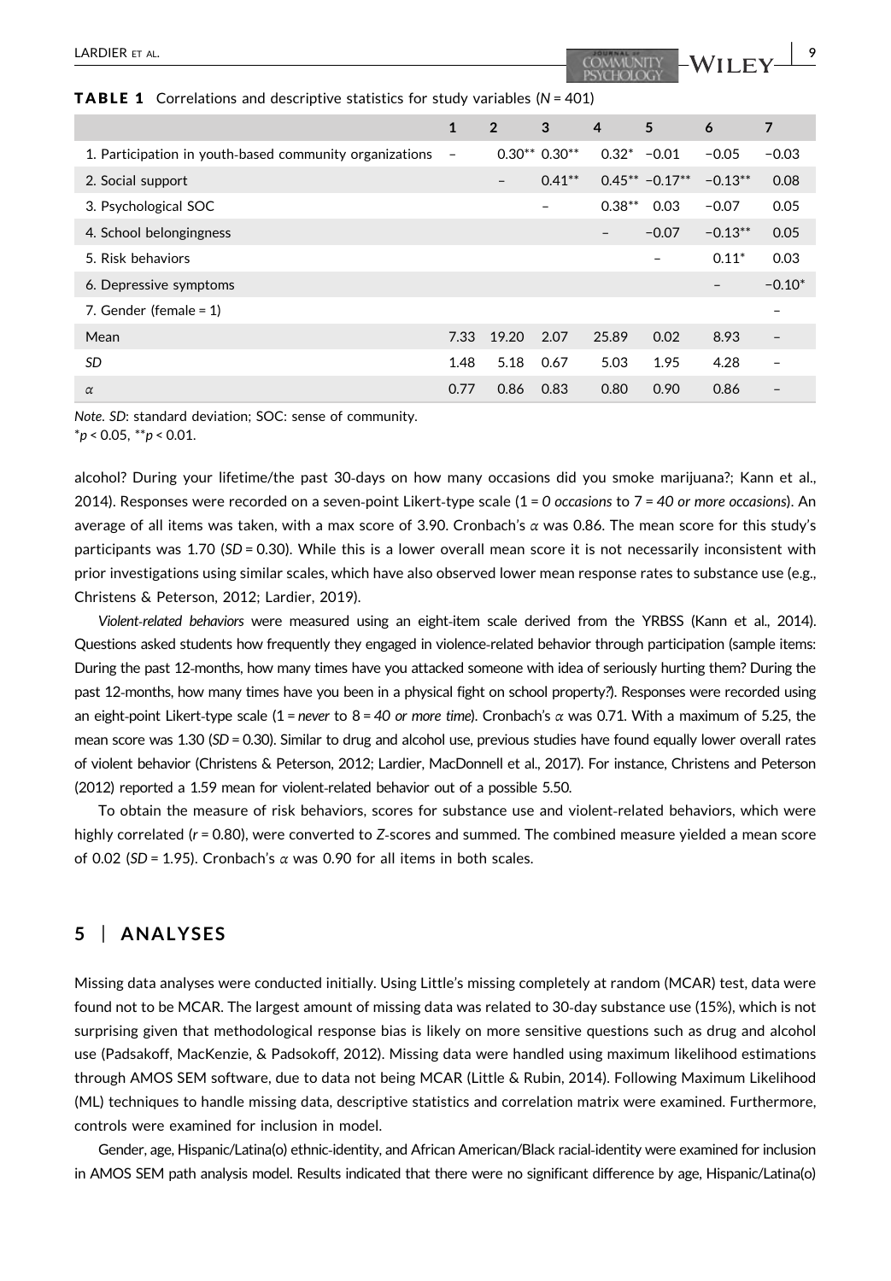#### **TABLE 1** Correlations and descriptive statistics for study variables  $(N = 401)$

|                                                         | $\mathbf{1}$             | $\overline{2}$ | 3                        | $\overline{4}$    | 5                | 6         | 7                        |
|---------------------------------------------------------|--------------------------|----------------|--------------------------|-------------------|------------------|-----------|--------------------------|
| 1. Participation in youth-based community organizations | $\overline{\phantom{a}}$ |                | $0.30**0.30**$           | $0.32^* - 0.01$   |                  | $-0.05$   | $-0.03$                  |
| 2. Social support                                       |                          | -              | $0.41***$                |                   | $0.45** -0.17**$ | $-0.13**$ | 0.08                     |
| 3. Psychological SOC                                    |                          |                | $\overline{\phantom{0}}$ | $0.38***$         | 0.03             | $-0.07$   | 0.05                     |
| 4. School belongingness                                 |                          |                |                          | $\qquad \qquad -$ | $-0.07$          | $-0.13**$ | 0.05                     |
| 5. Risk behaviors                                       |                          |                |                          |                   | -                | $0.11*$   | 0.03                     |
| 6. Depressive symptoms                                  |                          |                |                          |                   |                  |           | $-0.10*$                 |
| 7. Gender (female = $1$ )                               |                          |                |                          |                   |                  |           |                          |
| Mean                                                    | 7.33                     | 19.20          | 2.07                     | 25.89             | 0.02             | 8.93      |                          |
| <b>SD</b>                                               | 1.48                     | 5.18           | 0.67                     | 5.03              | 1.95             | 4.28      | $\overline{\phantom{0}}$ |
| $\alpha$                                                | 0.77                     | 0.86           | 0.83                     | 0.80              | 0.90             | 0.86      |                          |

Note. SD: standard deviation; SOC: sense of community.

 $**p* < 0.05, ***p* < 0.01.$ 

alcohol? During your lifetime/the past 30‐days on how many occasions did you smoke marijuana?; Kann et al., 2014). Responses were recorded on a seven-point Likert-type scale  $(1 = 0$  occasions to  $7 = 40$  or more occasions). An average of all items was taken, with a max score of 3.90. Cronbach's α was 0.86. The mean score for this study's participants was 1.70 (SD = 0.30). While this is a lower overall mean score it is not necessarily inconsistent with prior investigations using similar scales, which have also observed lower mean response rates to substance use (e.g., Christens & Peterson, 2012; Lardier, 2019).

Violent-related behaviors were measured using an eight-item scale derived from the YRBSS (Kann et al., 2014). Questions asked students how frequently they engaged in violence‐related behavior through participation (sample items: During the past 12‐months, how many times have you attacked someone with idea of seriously hurting them? During the past 12-months, how many times have you been in a physical fight on school property?). Responses were recorded using an eight-point Likert-type scale (1 = never to 8 = 40 or more time). Cronbach's  $\alpha$  was 0.71. With a maximum of 5.25, the mean score was 1.30 (SD = 0.30). Similar to drug and alcohol use, previous studies have found equally lower overall rates of violent behavior (Christens & Peterson, 2012; Lardier, MacDonnell et al., 2017). For instance, Christens and Peterson (2012) reported a 1.59 mean for violent‐related behavior out of a possible 5.50.

To obtain the measure of risk behaviors, scores for substance use and violent‐related behaviors, which were highly correlated (r = 0.80), were converted to Z-scores and summed. The combined measure yielded a mean score of 0.02 (SD = 1.95). Cronbach's α was 0.90 for all items in both scales.

# 5 | ANALYSES

Missing data analyses were conducted initially. Using Little's missing completely at random (MCAR) test, data were found not to be MCAR. The largest amount of missing data was related to 30‐day substance use (15%), which is not surprising given that methodological response bias is likely on more sensitive questions such as drug and alcohol use (Padsakoff, MacKenzie, & Padsokoff, 2012). Missing data were handled using maximum likelihood estimations through AMOS SEM software, due to data not being MCAR (Little & Rubin, 2014). Following Maximum Likelihood (ML) techniques to handle missing data, descriptive statistics and correlation matrix were examined. Furthermore, controls were examined for inclusion in model.

Gender, age, Hispanic/Latina(o) ethnic‐identity, and African American/Black racial‐identity were examined for inclusion in AMOS SEM path analysis model. Results indicated that there were no significant difference by age, Hispanic/Latina(o)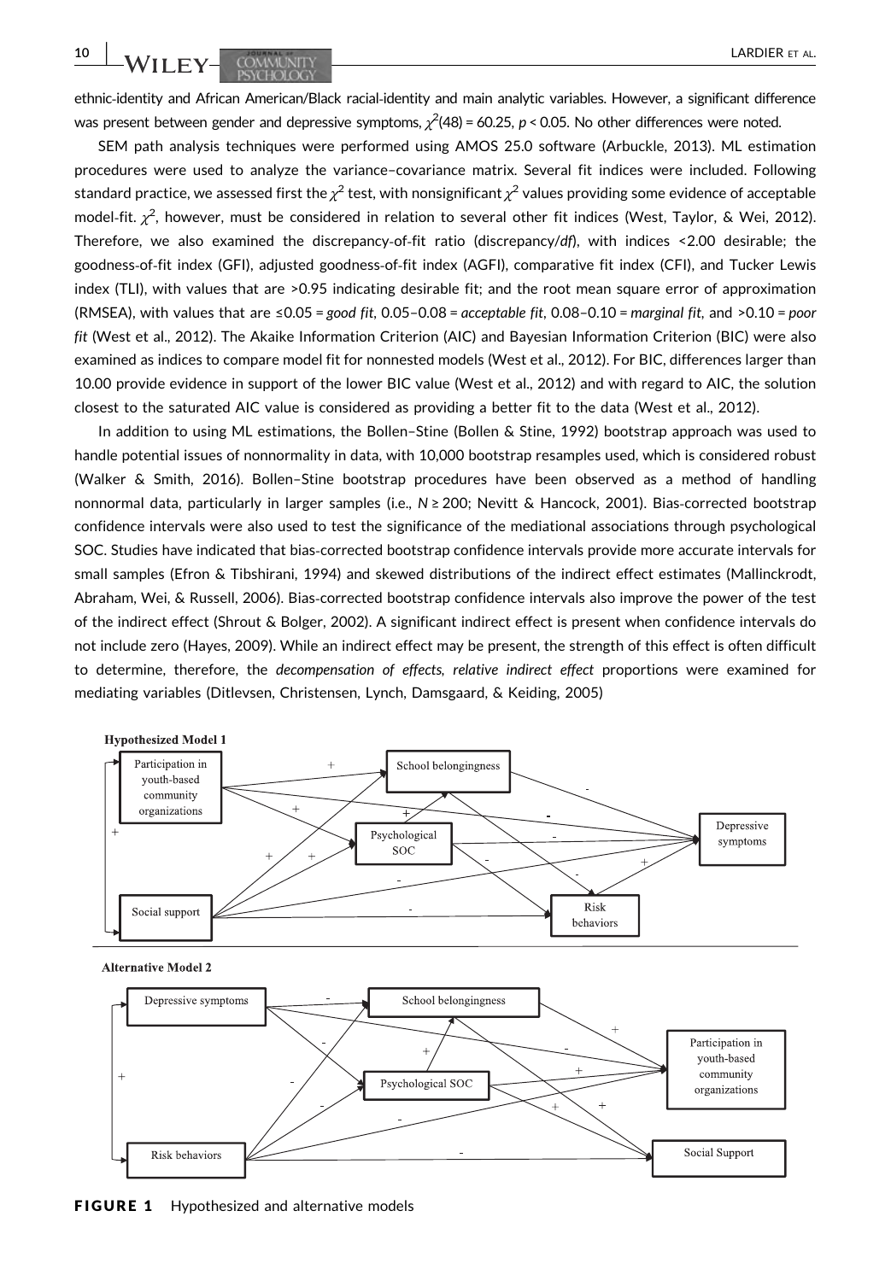ethnic-identity and African American/Black racial-identity and main analytic variables. However, a significant difference was present between gender and depressive symptoms,  $\chi^2$ (48) = 60.25, p < 0.05. No other differences were noted.

SEM path analysis techniques were performed using AMOS 25.0 software (Arbuckle, 2013). ML estimation procedures were used to analyze the variance–covariance matrix. Several fit indices were included. Following standard practice, we assessed first the  $\chi^2$  test, with nonsignificant  $\chi^2$  values providing some evidence of acceptable model-fit.  $\chi^2$ , however, must be considered in relation to several other fit indices (West, Taylor, & Wei, 2012). Therefore, we also examined the discrepancy-of-fit ratio (discrepancy/df), with indices <2.00 desirable; the goodness‐of‐fit index (GFI), adjusted goodness‐of‐fit index (AGFI), comparative fit index (CFI), and Tucker Lewis index (TLI), with values that are >0.95 indicating desirable fit; and the root mean square error of approximation (RMSEA), with values that are  $\leq 0.05 = good$  fit, 0.05-0.08 = acceptable fit, 0.08-0.10 = marginal fit, and  $>0.10 = poor$ fit (West et al., 2012). The Akaike Information Criterion (AIC) and Bayesian Information Criterion (BIC) were also examined as indices to compare model fit for nonnested models (West et al., 2012). For BIC, differences larger than 10.00 provide evidence in support of the lower BIC value (West et al., 2012) and with regard to AIC, the solution closest to the saturated AIC value is considered as providing a better fit to the data (West et al., 2012).

In addition to using ML estimations, the Bollen–Stine (Bollen & Stine, 1992) bootstrap approach was used to handle potential issues of nonnormality in data, with 10,000 bootstrap resamples used, which is considered robust (Walker & Smith, 2016). Bollen–Stine bootstrap procedures have been observed as a method of handling nonnormal data, particularly in larger samples (i.e., N ≥ 200; Nevitt & Hancock, 2001). Bias‐corrected bootstrap confidence intervals were also used to test the significance of the mediational associations through psychological SOC. Studies have indicated that bias‐corrected bootstrap confidence intervals provide more accurate intervals for small samples (Efron & Tibshirani, 1994) and skewed distributions of the indirect effect estimates (Mallinckrodt, Abraham, Wei, & Russell, 2006). Bias‐corrected bootstrap confidence intervals also improve the power of the test of the indirect effect (Shrout & Bolger, 2002). A significant indirect effect is present when confidence intervals do not include zero (Hayes, 2009). While an indirect effect may be present, the strength of this effect is often difficult to determine, therefore, the decompensation of effects, relative indirect effect proportions were examined for mediating variables (Ditlevsen, Christensen, Lynch, Damsgaard, & Keiding, 2005)



**Alternative Model 2** 



FIGURE 1 Hypothesized and alternative models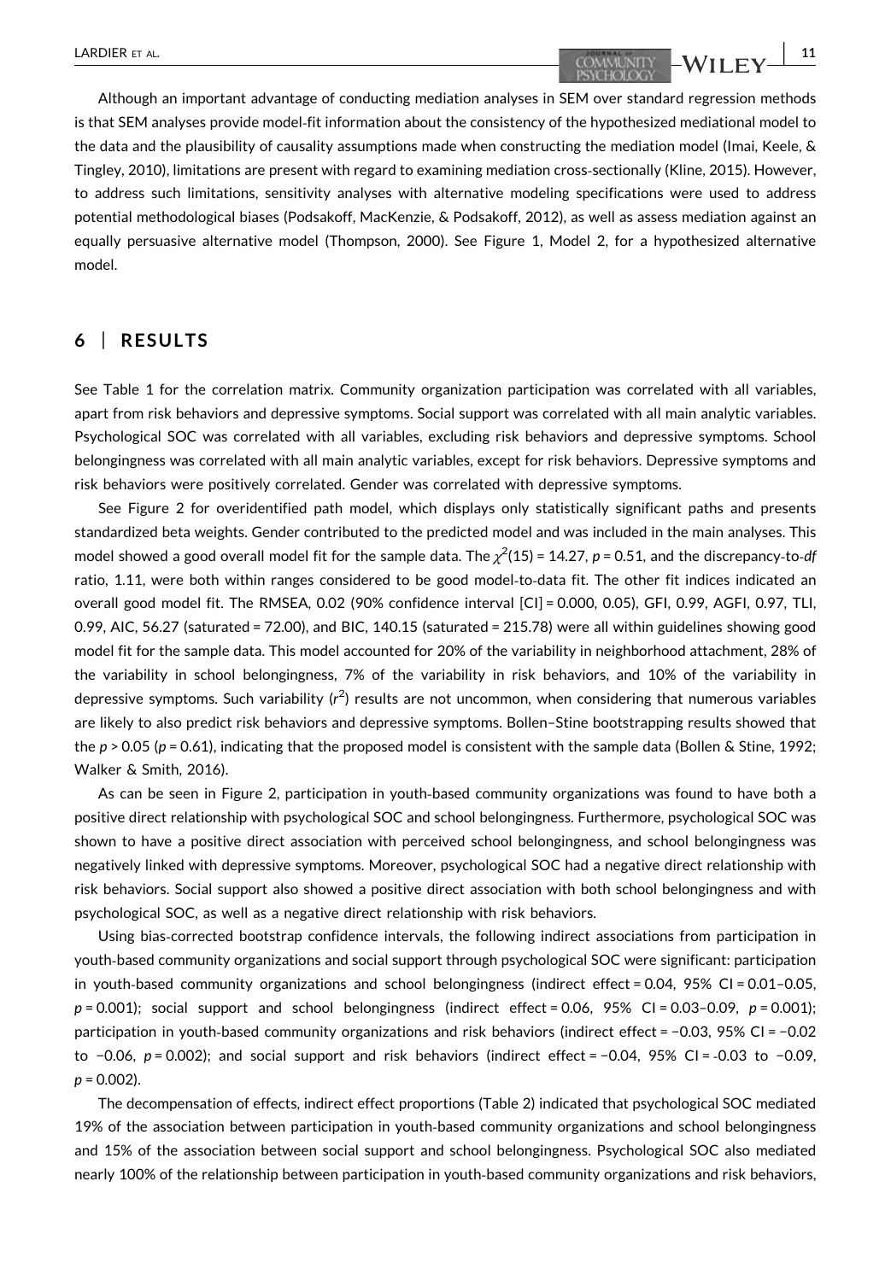# LARDIER ET AL.  $\begin{array}{|c|c|c|c|c|}\n\hline\n\text{COMMLNITY} & \text{WII EY} & \text{11} \\
\hline\n\end{array}$

Although an important advantage of conducting mediation analyses in SEM over standard regression methods is that SEM analyses provide model‐fit information about the consistency of the hypothesized mediational model to the data and the plausibility of causality assumptions made when constructing the mediation model (Imai, Keele, & Tingley, 2010), limitations are present with regard to examining mediation cross‐sectionally (Kline, 2015). However, to address such limitations, sensitivity analyses with alternative modeling specifications were used to address potential methodological biases (Podsakoff, MacKenzie, & Podsakoff, 2012), as well as assess mediation against an equally persuasive alternative model (Thompson, 2000). See Figure 1, Model 2, for a hypothesized alternative model.

### 6 | RESULTS

See Table 1 for the correlation matrix. Community organization participation was correlated with all variables, apart from risk behaviors and depressive symptoms. Social support was correlated with all main analytic variables. Psychological SOC was correlated with all variables, excluding risk behaviors and depressive symptoms. School belongingness was correlated with all main analytic variables, except for risk behaviors. Depressive symptoms and risk behaviors were positively correlated. Gender was correlated with depressive symptoms.

See Figure 2 for overidentified path model, which displays only statistically significant paths and presents standardized beta weights. Gender contributed to the predicted model and was included in the main analyses. This model showed a good overall model fit for the sample data. The  $\chi^2$ (15) = 14.27, p = 0.51, and the discrepancy-to-*df* ratio, 1.11, were both within ranges considered to be good model‐to‐data fit. The other fit indices indicated an overall good model fit. The RMSEA, 0.02 (90% confidence interval [CI] = 0.000, 0.05), GFI, 0.99, AGFI, 0.97, TLI, 0.99, AIC, 56.27 (saturated = 72.00), and BIC, 140.15 (saturated = 215.78) were all within guidelines showing good model fit for the sample data. This model accounted for 20% of the variability in neighborhood attachment, 28% of the variability in school belongingness, 7% of the variability in risk behaviors, and 10% of the variability in depressive symptoms. Such variability ( $r^2$ ) results are not uncommon, when considering that numerous variables are likely to also predict risk behaviors and depressive symptoms. Bollen–Stine bootstrapping results showed that the  $p > 0.05$  ( $p = 0.61$ ), indicating that the proposed model is consistent with the sample data (Bollen & Stine, 1992; Walker & Smith, 2016).

As can be seen in Figure 2, participation in youth‐based community organizations was found to have both a positive direct relationship with psychological SOC and school belongingness. Furthermore, psychological SOC was shown to have a positive direct association with perceived school belongingness, and school belongingness was negatively linked with depressive symptoms. Moreover, psychological SOC had a negative direct relationship with risk behaviors. Social support also showed a positive direct association with both school belongingness and with psychological SOC, as well as a negative direct relationship with risk behaviors.

Using bias‐corrected bootstrap confidence intervals, the following indirect associations from participation in youth‐based community organizations and social support through psychological SOC were significant: participation in youth-based community organizations and school belongingness (indirect effect =  $0.04$ , 95% CI =  $0.01-0.05$ ,  $p = 0.001$ ); social support and school belongingness (indirect effect = 0.06, 95% CI = 0.03–0.09,  $p = 0.001$ ); participation in youth‐based community organizations and risk behaviors (indirect effect = −0.03, 95% CI = −0.02 to −0.06, p = 0.002); and social support and risk behaviors (indirect effect = −0.04, 95% CI = ‐0.03 to −0.09,  $p = 0.002$ ).

The decompensation of effects, indirect effect proportions (Table 2) indicated that psychological SOC mediated 19% of the association between participation in youth‐based community organizations and school belongingness and 15% of the association between social support and school belongingness. Psychological SOC also mediated nearly 100% of the relationship between participation in youth‐based community organizations and risk behaviors,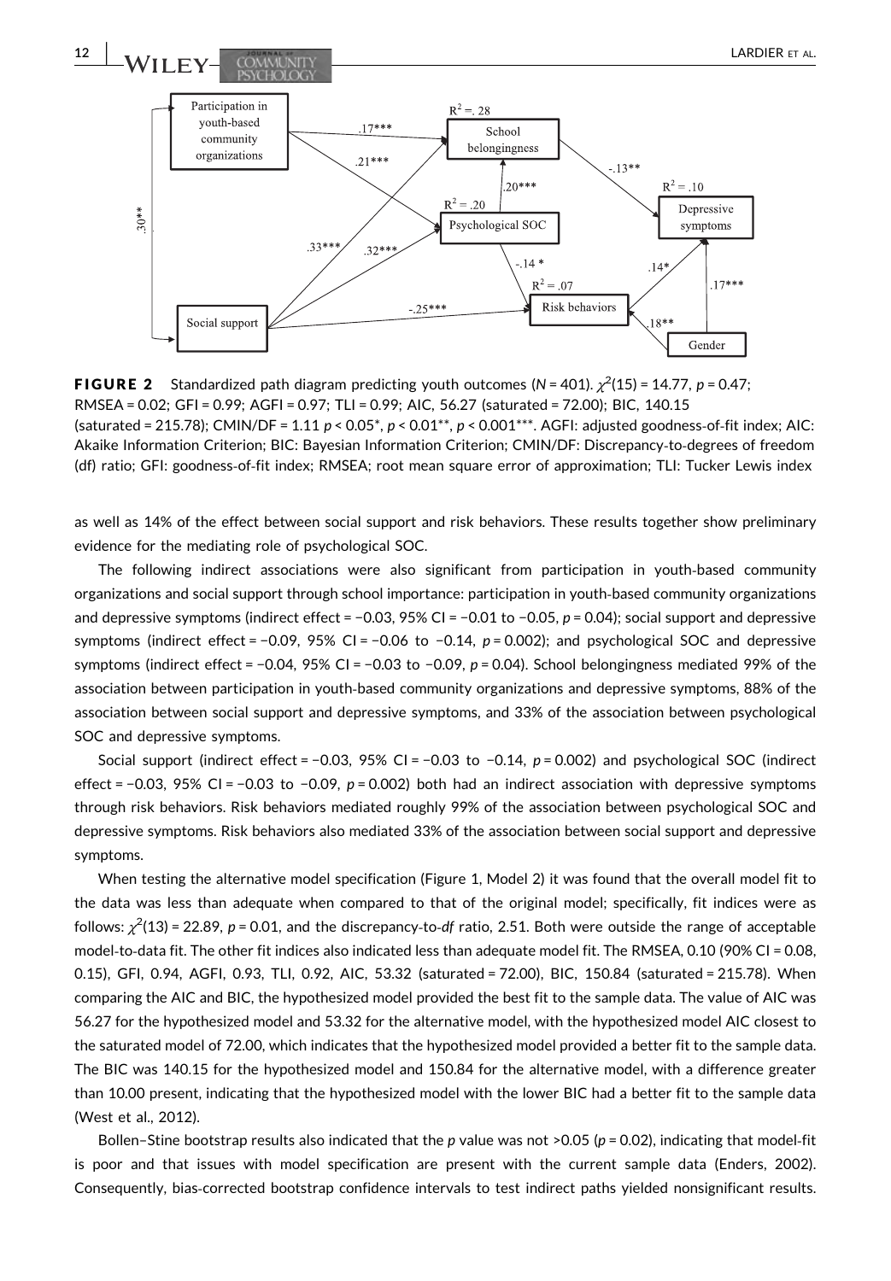

**FIGURE 2** Standardized path diagram predicting youth outcomes (N = 401).  $\chi^2(15)$  = 14.77, p = 0.47; RMSEA = 0.02; GFI = 0.99; AGFI = 0.97; TLI = 0.99; AIC, 56.27 (saturated = 72.00); BIC, 140.15 (saturated = 215.78); CMIN/DF = 1.11  $p < 0.05^*$ ,  $p < 0.01^{**}$ ,  $p < 0.001^{***}$ . AGFI: adjusted goodness-of-fit index; AIC: Akaike Information Criterion; BIC: Bayesian Information Criterion; CMIN/DF: Discrepancy‐to‐degrees of freedom (df) ratio; GFI: goodness‐of‐fit index; RMSEA; root mean square error of approximation; TLI: Tucker Lewis index

as well as 14% of the effect between social support and risk behaviors. These results together show preliminary evidence for the mediating role of psychological SOC.

The following indirect associations were also significant from participation in youth‐based community organizations and social support through school importance: participation in youth‐based community organizations and depressive symptoms (indirect effect = −0.03, 95% CI = −0.01 to −0.05, p = 0.04); social support and depressive symptoms (indirect effect = −0.09, 95% CI = −0.06 to −0.14,  $p = 0.002$ ); and psychological SOC and depressive symptoms (indirect effect = -0.04, 95% CI = -0.03 to -0.09,  $p = 0.04$ ). School belongingness mediated 99% of the association between participation in youth‐based community organizations and depressive symptoms, 88% of the association between social support and depressive symptoms, and 33% of the association between psychological SOC and depressive symptoms.

Social support (indirect effect = −0.03, 95% CI = −0.03 to −0.14, p = 0.002) and psychological SOC (indirect effect = −0.03, 95% CI = −0.03 to −0.09, p = 0.002) both had an indirect association with depressive symptoms through risk behaviors. Risk behaviors mediated roughly 99% of the association between psychological SOC and depressive symptoms. Risk behaviors also mediated 33% of the association between social support and depressive symptoms.

When testing the alternative model specification (Figure 1, Model 2) it was found that the overall model fit to the data was less than adequate when compared to that of the original model; specifically, fit indices were as follows:  $\chi^2(13)$  = 22.89, p = 0.01, and the discrepancy-to-df ratio, 2.51. Both were outside the range of acceptable model-to-data fit. The other fit indices also indicated less than adequate model fit. The RMSEA, 0.10 (90% CI = 0.08, 0.15), GFI, 0.94, AGFI, 0.93, TLI, 0.92, AIC, 53.32 (saturated = 72.00), BIC, 150.84 (saturated = 215.78). When comparing the AIC and BIC, the hypothesized model provided the best fit to the sample data. The value of AIC was 56.27 for the hypothesized model and 53.32 for the alternative model, with the hypothesized model AIC closest to the saturated model of 72.00, which indicates that the hypothesized model provided a better fit to the sample data. The BIC was 140.15 for the hypothesized model and 150.84 for the alternative model, with a difference greater than 10.00 present, indicating that the hypothesized model with the lower BIC had a better fit to the sample data (West et al., 2012).

Bollen–Stine bootstrap results also indicated that the p value was not >0.05 ( $p = 0.02$ ), indicating that model-fit is poor and that issues with model specification are present with the current sample data (Enders, 2002). Consequently, bias‐corrected bootstrap confidence intervals to test indirect paths yielded nonsignificant results.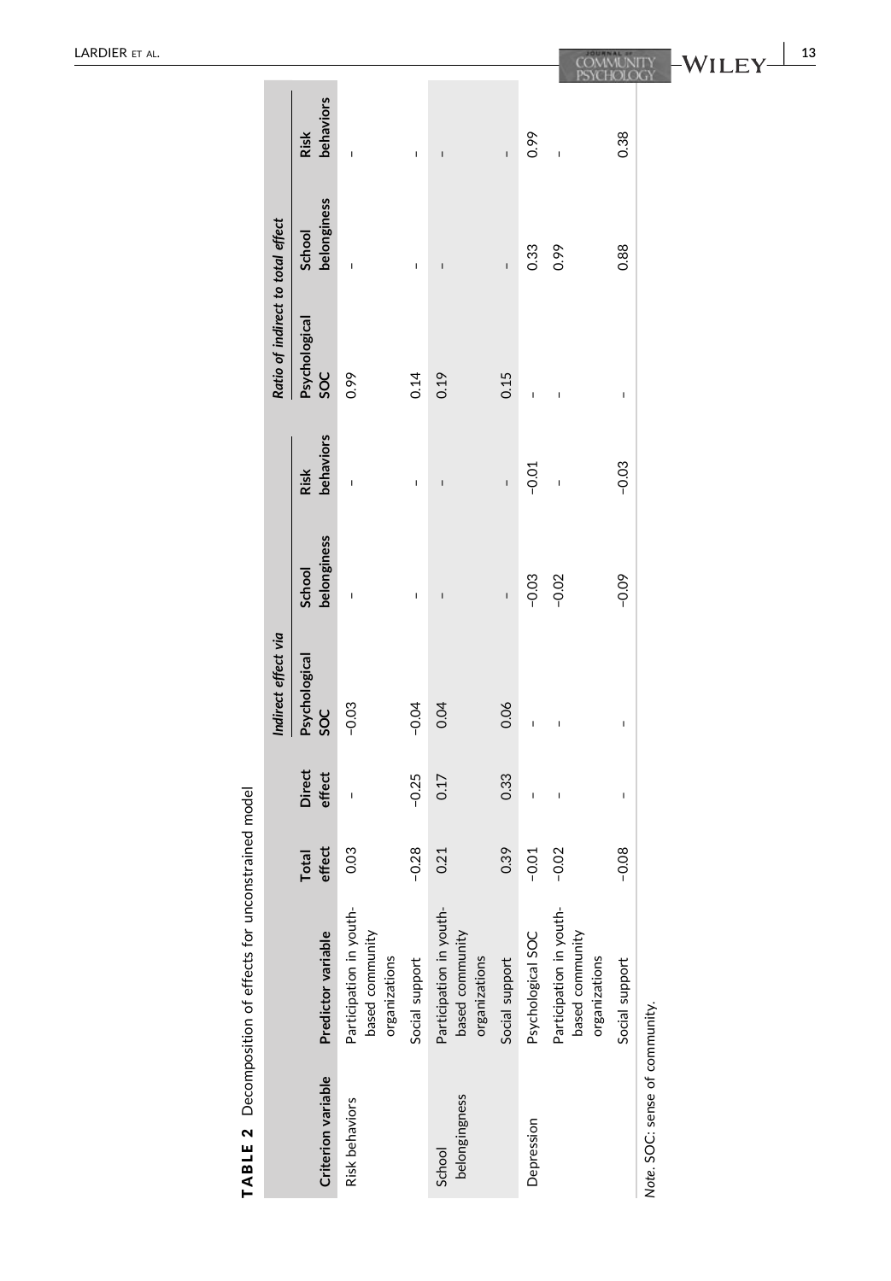|                                   |                       |                                                             |                |                                                             |                |                   |                                                             |                |                                | 13 |
|-----------------------------------|-----------------------|-------------------------------------------------------------|----------------|-------------------------------------------------------------|----------------|-------------------|-------------------------------------------------------------|----------------|--------------------------------|----|
|                                   | behaviors<br>Risk     | $\overline{\phantom{a}}$                                    | $\mathbf{I}$   |                                                             | $\mathbf{I}$   | 0.99              | $\overline{1}$                                              | 0.38           |                                |    |
| Ratio of indirect to total effect | belonginess<br>School | $\mathbf{I}$                                                | $\mathbf{I}$   | $\mathbf{I}$                                                | $\mathbf{I}$   | 0.33              | 0.99                                                        | 0.88           |                                |    |
|                                   | Psychological<br>SOC  | 0.99                                                        | 0.14           | 0.19                                                        | 0.15           | I                 | $\overline{1}$                                              | I              |                                |    |
| Indirect effect via               | behaviors<br>Risk     | $\mathbf{I}$                                                | I              |                                                             | $\mathbf{I}$   | $-0.01$           | $\overline{1}$                                              | $-0.03$        |                                |    |
|                                   | belonginess<br>School | $\mathbf{I}$                                                | $\mathbf{I}$   | $\mathbf{I}$                                                | $\mathbf{I}$   | $-0.03$           | $-0.02$                                                     | $-0.09$        |                                |    |
|                                   | Psychological<br>SOC  | $-0.03$                                                     | $-0.04$        | 0.04                                                        | 0.06           |                   |                                                             | I              |                                |    |
|                                   | Direct<br>effect      | $\overline{\phantom{a}}$                                    | $-0.25$        | 0.17                                                        | 0.33           | I                 | $\overline{\phantom{a}}$                                    | ı              |                                |    |
|                                   | effect<br>Total       | 0.03                                                        | $-0.28$        | 0.21                                                        | 0.39           | $-0.01$           | $-0.02$                                                     | $-0.08$        |                                |    |
|                                   | Predictor variable    | Participation in youth-<br>based community<br>organizations | Social support | Participation in youth-<br>based community<br>organizations | Social support | Psychological SOC | Participation in youth-<br>based community<br>organizations | Social support |                                |    |
|                                   | Criterion variable    | Risk behaviors                                              |                | belongingness<br>School                                     |                | Depression        |                                                             |                | Note. SOC: sense of community. |    |

TABLE 2 Decomposition of effects for unconstrained model TABLE 2 Decomposition of effects for unconstrained model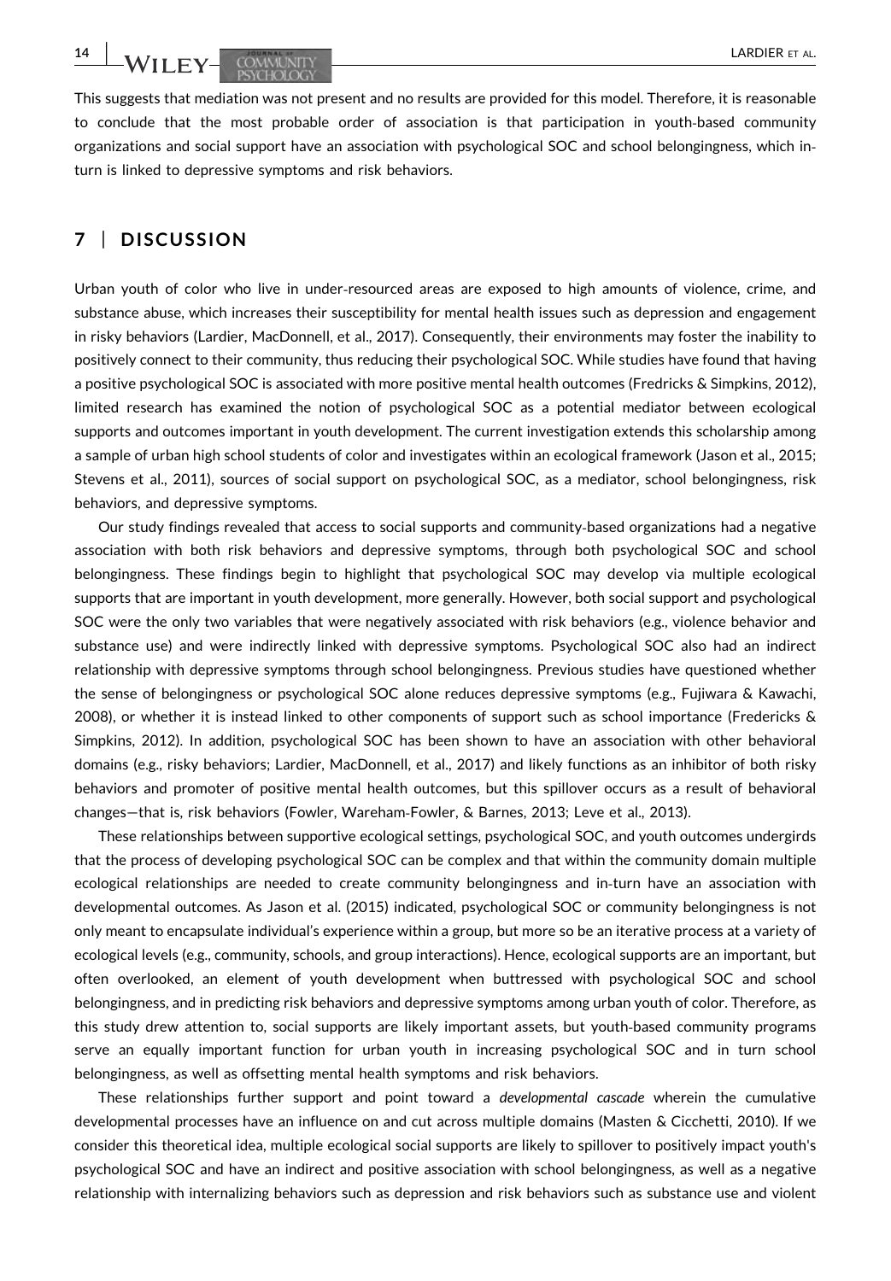14 | **IA**/LIFY COMMISTIV

This suggests that mediation was not present and no results are provided for this model. Therefore, it is reasonable to conclude that the most probable order of association is that participation in youth‐based community organizations and social support have an association with psychological SOC and school belongingness, which in‐ turn is linked to depressive symptoms and risk behaviors.

# 7 | DISCUSSION

Urban youth of color who live in under‐resourced areas are exposed to high amounts of violence, crime, and substance abuse, which increases their susceptibility for mental health issues such as depression and engagement in risky behaviors (Lardier, MacDonnell, et al., 2017). Consequently, their environments may foster the inability to positively connect to their community, thus reducing their psychological SOC. While studies have found that having a positive psychological SOC is associated with more positive mental health outcomes (Fredricks & Simpkins, 2012), limited research has examined the notion of psychological SOC as a potential mediator between ecological supports and outcomes important in youth development. The current investigation extends this scholarship among a sample of urban high school students of color and investigates within an ecological framework (Jason et al., 2015; Stevens et al., 2011), sources of social support on psychological SOC, as a mediator, school belongingness, risk behaviors, and depressive symptoms.

Our study findings revealed that access to social supports and community‐based organizations had a negative association with both risk behaviors and depressive symptoms, through both psychological SOC and school belongingness. These findings begin to highlight that psychological SOC may develop via multiple ecological supports that are important in youth development, more generally. However, both social support and psychological SOC were the only two variables that were negatively associated with risk behaviors (e.g., violence behavior and substance use) and were indirectly linked with depressive symptoms. Psychological SOC also had an indirect relationship with depressive symptoms through school belongingness. Previous studies have questioned whether the sense of belongingness or psychological SOC alone reduces depressive symptoms (e.g., Fujiwara & Kawachi, 2008), or whether it is instead linked to other components of support such as school importance (Fredericks & Simpkins, 2012). In addition, psychological SOC has been shown to have an association with other behavioral domains (e.g., risky behaviors; Lardier, MacDonnell, et al., 2017) and likely functions as an inhibitor of both risky behaviors and promoter of positive mental health outcomes, but this spillover occurs as a result of behavioral changes—that is, risk behaviors (Fowler, Wareham‐Fowler, & Barnes, 2013; Leve et al., 2013).

These relationships between supportive ecological settings, psychological SOC, and youth outcomes undergirds that the process of developing psychological SOC can be complex and that within the community domain multiple ecological relationships are needed to create community belongingness and in-turn have an association with developmental outcomes. As Jason et al. (2015) indicated, psychological SOC or community belongingness is not only meant to encapsulate individual's experience within a group, but more so be an iterative process at a variety of ecological levels (e.g., community, schools, and group interactions). Hence, ecological supports are an important, but often overlooked, an element of youth development when buttressed with psychological SOC and school belongingness, and in predicting risk behaviors and depressive symptoms among urban youth of color. Therefore, as this study drew attention to, social supports are likely important assets, but youth‐based community programs serve an equally important function for urban youth in increasing psychological SOC and in turn school belongingness, as well as offsetting mental health symptoms and risk behaviors.

These relationships further support and point toward a developmental cascade wherein the cumulative developmental processes have an influence on and cut across multiple domains (Masten & Cicchetti, 2010). If we consider this theoretical idea, multiple ecological social supports are likely to spillover to positively impact youth's psychological SOC and have an indirect and positive association with school belongingness, as well as a negative relationship with internalizing behaviors such as depression and risk behaviors such as substance use and violent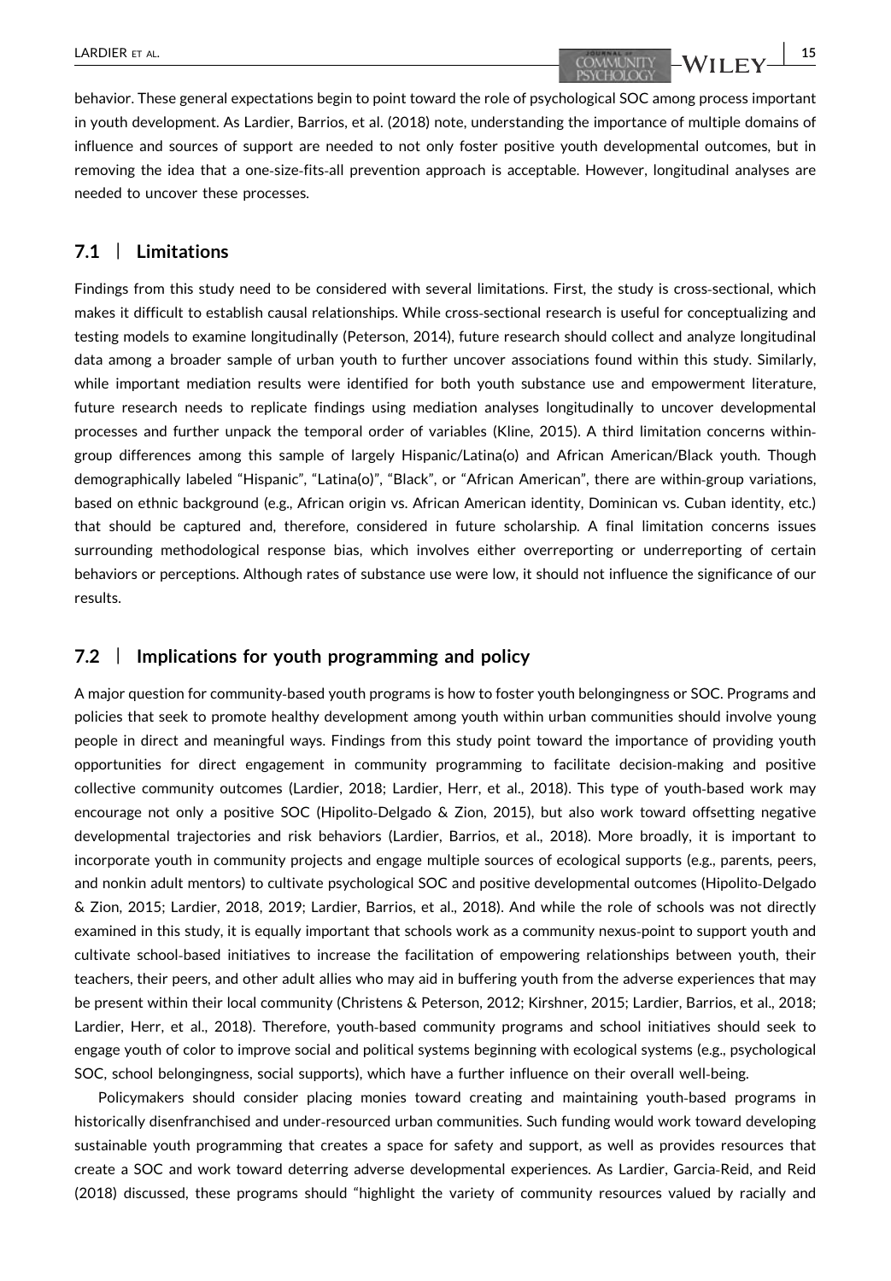behavior. These general expectations begin to point toward the role of psychological SOC among process important in youth development. As Lardier, Barrios, et al. (2018) note, understanding the importance of multiple domains of influence and sources of support are needed to not only foster positive youth developmental outcomes, but in removing the idea that a one‐size‐fits‐all prevention approach is acceptable. However, longitudinal analyses are needed to uncover these processes.

#### 7.1 | Limitations

Findings from this study need to be considered with several limitations. First, the study is cross‐sectional, which makes it difficult to establish causal relationships. While cross-sectional research is useful for conceptualizing and testing models to examine longitudinally (Peterson, 2014), future research should collect and analyze longitudinal data among a broader sample of urban youth to further uncover associations found within this study. Similarly, while important mediation results were identified for both youth substance use and empowerment literature, future research needs to replicate findings using mediation analyses longitudinally to uncover developmental processes and further unpack the temporal order of variables (Kline, 2015). A third limitation concerns within‐ group differences among this sample of largely Hispanic/Latina(o) and African American/Black youth. Though demographically labeled "Hispanic", "Latina(o)", "Black", or "African American", there are within‐group variations, based on ethnic background (e.g., African origin vs. African American identity, Dominican vs. Cuban identity, etc.) that should be captured and, therefore, considered in future scholarship. A final limitation concerns issues surrounding methodological response bias, which involves either overreporting or underreporting of certain behaviors or perceptions. Although rates of substance use were low, it should not influence the significance of our results.

#### 7.2 | Implications for youth programming and policy

A major question for community‐based youth programs is how to foster youth belongingness or SOC. Programs and policies that seek to promote healthy development among youth within urban communities should involve young people in direct and meaningful ways. Findings from this study point toward the importance of providing youth opportunities for direct engagement in community programming to facilitate decision‐making and positive collective community outcomes (Lardier, 2018; Lardier, Herr, et al., 2018). This type of youth‐based work may encourage not only a positive SOC (Hipolito-Delgado & Zion, 2015), but also work toward offsetting negative developmental trajectories and risk behaviors (Lardier, Barrios, et al., 2018). More broadly, it is important to incorporate youth in community projects and engage multiple sources of ecological supports (e.g., parents, peers, and nonkin adult mentors) to cultivate psychological SOC and positive developmental outcomes (Hipolito‐Delgado & Zion, 2015; Lardier, 2018, 2019; Lardier, Barrios, et al., 2018). And while the role of schools was not directly examined in this study, it is equally important that schools work as a community nexus‐point to support youth and cultivate school‐based initiatives to increase the facilitation of empowering relationships between youth, their teachers, their peers, and other adult allies who may aid in buffering youth from the adverse experiences that may be present within their local community (Christens & Peterson, 2012; Kirshner, 2015; Lardier, Barrios, et al., 2018; Lardier, Herr, et al., 2018). Therefore, youth‐based community programs and school initiatives should seek to engage youth of color to improve social and political systems beginning with ecological systems (e.g., psychological SOC, school belongingness, social supports), which have a further influence on their overall well‐being.

Policymakers should consider placing monies toward creating and maintaining youth‐based programs in historically disenfranchised and under‐resourced urban communities. Such funding would work toward developing sustainable youth programming that creates a space for safety and support, as well as provides resources that create a SOC and work toward deterring adverse developmental experiences. As Lardier, Garcia‐Reid, and Reid (2018) discussed, these programs should "highlight the variety of community resources valued by racially and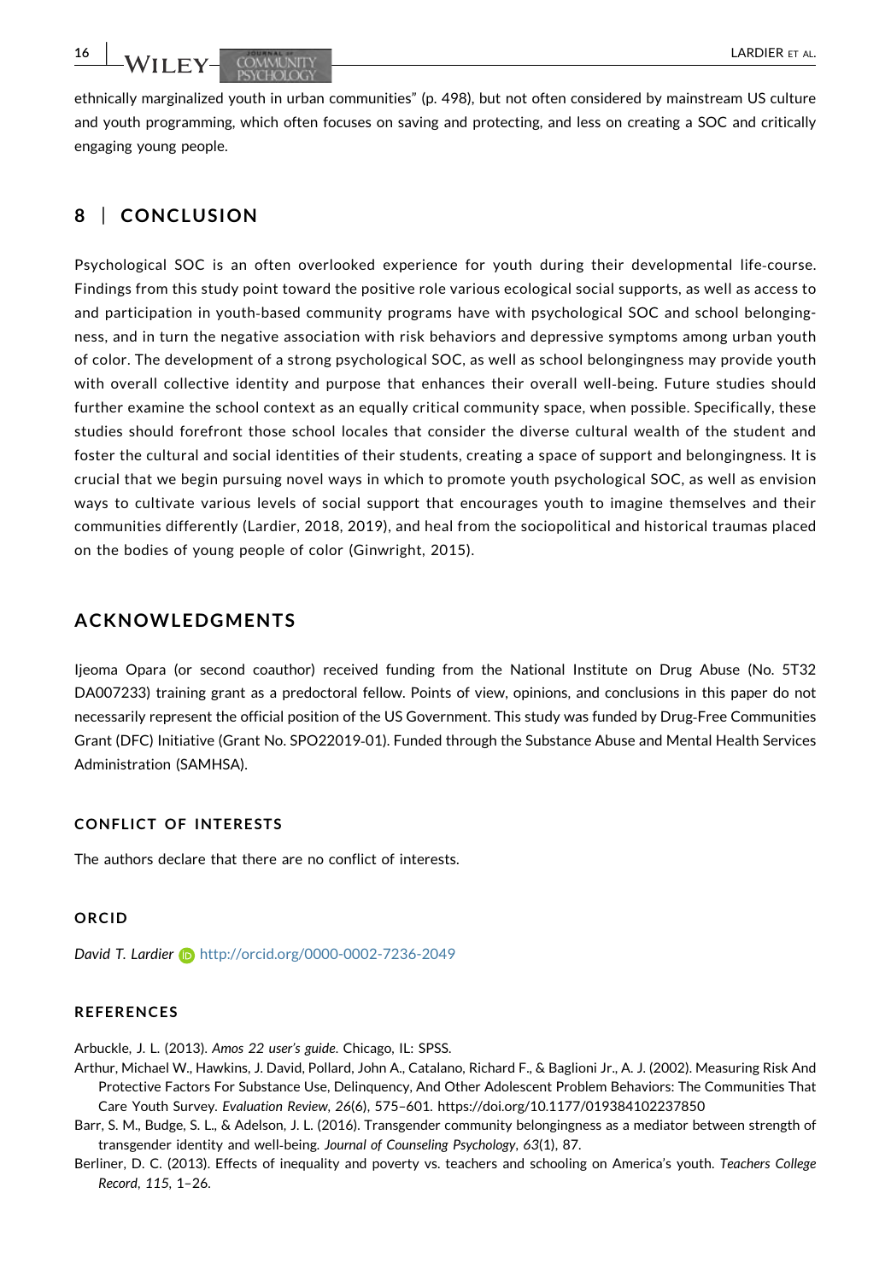ethnically marginalized youth in urban communities" (p. 498), but not often considered by mainstream US culture and youth programming, which often focuses on saving and protecting, and less on creating a SOC and critically engaging young people.

# 8 | CONCLUSION

Psychological SOC is an often overlooked experience for youth during their developmental life‐course. Findings from this study point toward the positive role various ecological social supports, as well as access to and participation in youth-based community programs have with psychological SOC and school belongingness, and in turn the negative association with risk behaviors and depressive symptoms among urban youth of color. The development of a strong psychological SOC, as well as school belongingness may provide youth with overall collective identity and purpose that enhances their overall well-being. Future studies should further examine the school context as an equally critical community space, when possible. Specifically, these studies should forefront those school locales that consider the diverse cultural wealth of the student and foster the cultural and social identities of their students, creating a space of support and belongingness. It is crucial that we begin pursuing novel ways in which to promote youth psychological SOC, as well as envision ways to cultivate various levels of social support that encourages youth to imagine themselves and their communities differently (Lardier, 2018, 2019), and heal from the sociopolitical and historical traumas placed on the bodies of young people of color (Ginwright, 2015).

# ACKNOWLEDGMENTS

Ijeoma Opara (or second coauthor) received funding from the National Institute on Drug Abuse (No. 5T32 DA007233) training grant as a predoctoral fellow. Points of view, opinions, and conclusions in this paper do not necessarily represent the official position of the US Government. This study was funded by Drug‐Free Communities Grant (DFC) Initiative (Grant No. SPO22019‐01). Funded through the Substance Abuse and Mental Health Services Administration (SAMHSA).

#### CONFLICT OF INTERESTS

The authors declare that there are no conflict of interests.

#### ORCID

David T. Lardier n <http://orcid.org/0000-0002-7236-2049>

### REFERENCES

Arbuckle, J. L. (2013). Amos 22 user's guide. Chicago, IL: SPSS.

- Arthur, Michael W., Hawkins, J. David, Pollard, John A., Catalano, Richard F., & Baglioni Jr., A. J. (2002). Measuring Risk And Protective Factors For Substance Use, Delinquency, And Other Adolescent Problem Behaviors: The Communities That Care Youth Survey. Evaluation Review, 26(6), 575–601.<https://doi.org/10.1177/019384102237850>
- Barr, S. M., Budge, S. L., & Adelson, J. L. (2016). Transgender community belongingness as a mediator between strength of transgender identity and well-being. Journal of Counseling Psychology, 63(1), 87.
- Berliner, D. C. (2013). Effects of inequality and poverty vs. teachers and schooling on America's youth. Teachers College Record, 115, 1–26.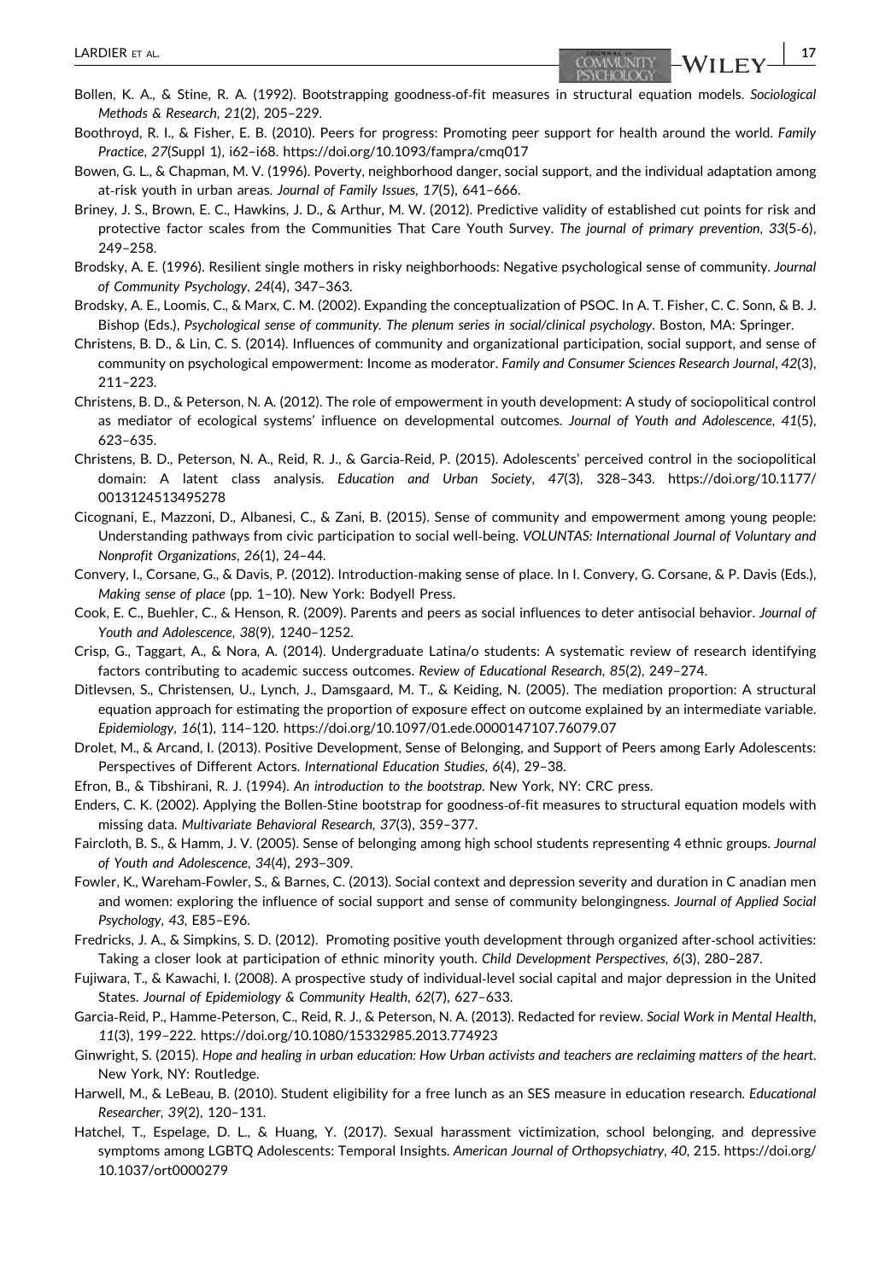- Bollen, K. A., & Stine, R. A. (1992). Bootstrapping goodness‐of‐fit measures in structural equation models. Sociological Methods & Research, 21(2), 205–229.
- Boothroyd, R. I., & Fisher, E. B. (2010). Peers for progress: Promoting peer support for health around the world. Family Practice, 27(Suppl 1), i62–i68.<https://doi.org/10.1093/fampra/cmq017>
- Bowen, G. L., & Chapman, M. V. (1996). Poverty, neighborhood danger, social support, and the individual adaptation among at-risk youth in urban areas. Journal of Family Issues, 17(5), 641-666.
- Briney, J. S., Brown, E. C., Hawkins, J. D., & Arthur, M. W. (2012). Predictive validity of established cut points for risk and protective factor scales from the Communities That Care Youth Survey. The journal of primary prevention, 33(5-6), 249–258.
- Brodsky, A. E. (1996). Resilient single mothers in risky neighborhoods: Negative psychological sense of community. Journal of Community Psychology, 24(4), 347–363.
- Brodsky, A. E., Loomis, C., & Marx, C. M. (2002). Expanding the conceptualization of PSOC. In A. T. Fisher, C. C. Sonn, & B. J. Bishop (Eds.), Psychological sense of community. The plenum series in social/clinical psychology. Boston, MA: Springer.
- Christens, B. D., & Lin, C. S. (2014). Influences of community and organizational participation, social support, and sense of community on psychological empowerment: Income as moderator. Family and Consumer Sciences Research Journal, 42(3), 211–223.
- Christens, B. D., & Peterson, N. A. (2012). The role of empowerment in youth development: A study of sociopolitical control as mediator of ecological systems' influence on developmental outcomes. Journal of Youth and Adolescence, 41(5), 623–635.
- Christens, B. D., Peterson, N. A., Reid, R. J., & Garcia‐Reid, P. (2015). Adolescents' perceived control in the sociopolitical domain: A latent class analysis. Education and Urban Society, 47(3), 328–343. [https://doi.org/10.1177/](https://doi.org/10.1177/0013124513495278) [0013124513495278](https://doi.org/10.1177/0013124513495278)
- Cicognani, E., Mazzoni, D., Albanesi, C., & Zani, B. (2015). Sense of community and empowerment among young people: Understanding pathways from civic participation to social well‐being. VOLUNTAS: International Journal of Voluntary and Nonprofit Organizations, 26(1), 24–44.
- Convery, I., Corsane, G., & Davis, P. (2012). Introduction‐making sense of place. In I. Convery, G. Corsane, & P. Davis (Eds.), Making sense of place (pp. 1–10). New York: Bodyell Press.
- Cook, E. C., Buehler, C., & Henson, R. (2009). Parents and peers as social influences to deter antisocial behavior. Journal of Youth and Adolescence, 38(9), 1240–1252.
- Crisp, G., Taggart, A., & Nora, A. (2014). Undergraduate Latina/o students: A systematic review of research identifying factors contributing to academic success outcomes. Review of Educational Research, 85(2), 249–274.
- Ditlevsen, S., Christensen, U., Lynch, J., Damsgaard, M. T., & Keiding, N. (2005). The mediation proportion: A structural equation approach for estimating the proportion of exposure effect on outcome explained by an intermediate variable. Epidemiology, 16(1), 114–120.<https://doi.org/10.1097/01.ede.0000147107.76079.07>
- Drolet, M., & Arcand, I. (2013). Positive Development, Sense of Belonging, and Support of Peers among Early Adolescents: Perspectives of Different Actors. International Education Studies, 6(4), 29–38.
- Efron, B., & Tibshirani, R. J. (1994). An introduction to the bootstrap. New York, NY: CRC press.
- Enders, C. K. (2002). Applying the Bollen‐Stine bootstrap for goodness‐of‐fit measures to structural equation models with missing data. Multivariate Behavioral Research, 37(3), 359–377.
- Faircloth, B. S., & Hamm, J. V. (2005). Sense of belonging among high school students representing 4 ethnic groups. Journal of Youth and Adolescence, 34(4), 293–309.
- Fowler, K., Wareham‐Fowler, S., & Barnes, C. (2013). Social context and depression severity and duration in C anadian men and women: exploring the influence of social support and sense of community belongingness. Journal of Applied Social Psychology, 43, E85–E96.
- Fredricks, J. A., & Simpkins, S. D. (2012). Promoting positive youth development through organized after‐school activities: Taking a closer look at participation of ethnic minority youth. Child Development Perspectives, 6(3), 280–287.
- Fujiwara, T., & Kawachi, I. (2008). A prospective study of individual‐level social capital and major depression in the United States. Journal of Epidemiology & Community Health, 62(7), 627–633.
- Garcia‐Reid, P., Hamme‐Peterson, C., Reid, R. J., & Peterson, N. A. (2013). Redacted for review. Social Work in Mental Health, 11(3), 199–222.<https://doi.org/10.1080/15332985.2013.774923>
- Ginwright, S. (2015). Hope and healing in urban education: How Urban activists and teachers are reclaiming matters of the heart. New York, NY: Routledge.
- Harwell, M., & LeBeau, B. (2010). Student eligibility for a free lunch as an SES measure in education research. Educational Researcher, 39(2), 120–131.
- Hatchel, T., Espelage, D. L., & Huang, Y. (2017). Sexual harassment victimization, school belonging, and depressive symptoms among LGBTQ Adolescents: Temporal Insights. American Journal of Orthopsychiatry, 40, 215. [https://doi.org/](https://doi.org/http://dx.org/10.1037/ort0000279) [10.1037/ort0000279](https://doi.org/http://dx.org/10.1037/ort0000279)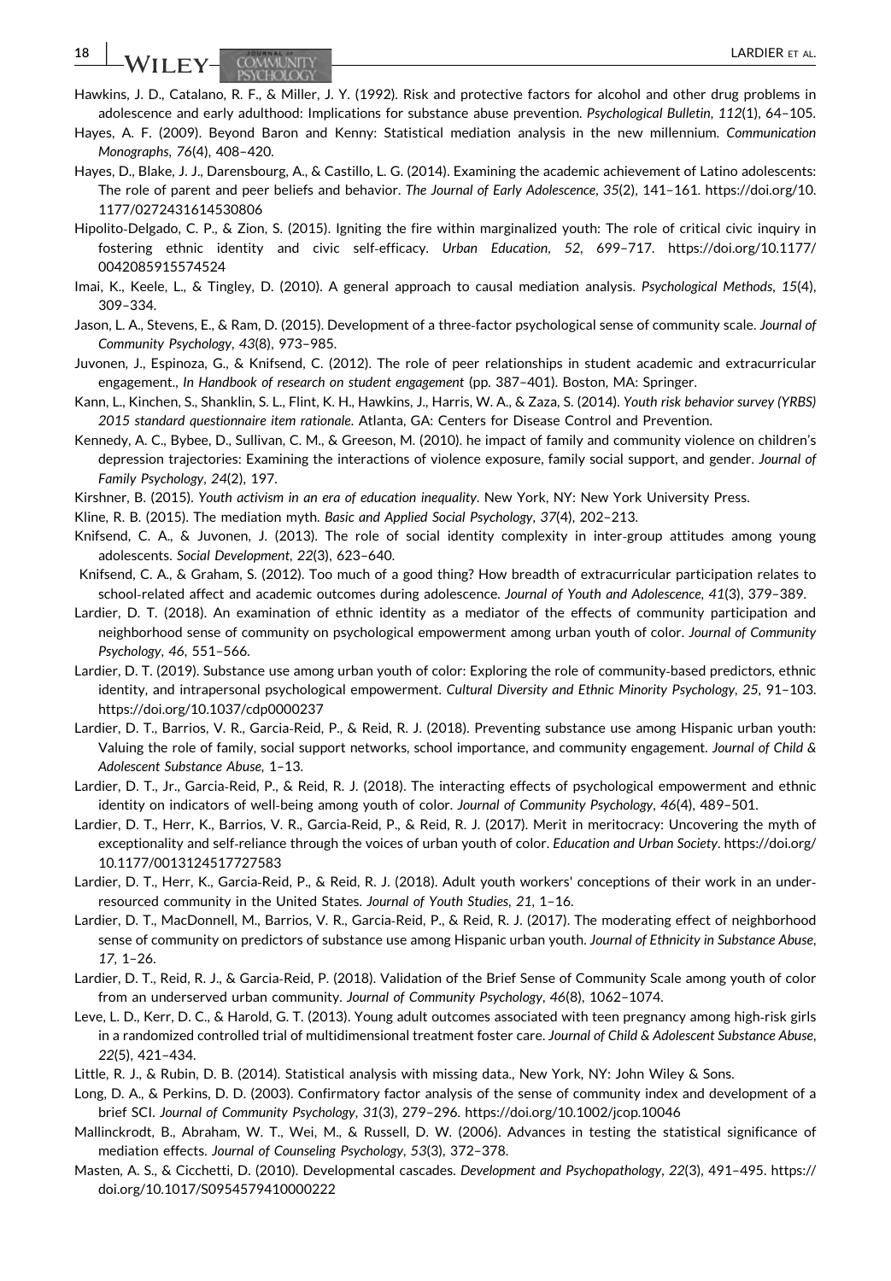18 | **IA/LL EX.** COMMISITY

- Hawkins, J. D., Catalano, R. F., & Miller, J. Y. (1992). Risk and protective factors for alcohol and other drug problems in adolescence and early adulthood: Implications for substance abuse prevention. Psychological Bulletin, 112(1), 64–105.
- Hayes, A. F. (2009). Beyond Baron and Kenny: Statistical mediation analysis in the new millennium. Communication Monographs, 76(4), 408–420.
- Hayes, D., Blake, J. J., Darensbourg, A., & Castillo, L. G. (2014). Examining the academic achievement of Latino adolescents: The role of parent and peer beliefs and behavior. The Journal of Early Adolescence, 35(2), 141–161. [https://doi.org/10.](https://doi.org/10.1177/0272431614530806) [1177/0272431614530806](https://doi.org/10.1177/0272431614530806)
- Hipolito‐Delgado, C. P., & Zion, S. (2015). Igniting the fire within marginalized youth: The role of critical civic inquiry in fostering ethnic identity and civic self‐efficacy. Urban Education, 52, 699–717. [https://doi.org/10.1177/](https://doi.org/10.1177/0042085915574524) [0042085915574524](https://doi.org/10.1177/0042085915574524)
- Imai, K., Keele, L., & Tingley, D. (2010). A general approach to causal mediation analysis. Psychological Methods, 15(4), 309–334.
- Jason, L. A., Stevens, E., & Ram, D. (2015). Development of a three-factor psychological sense of community scale. Journal of Community Psychology, 43(8), 973–985.
- Juvonen, J., Espinoza, G., & Knifsend, C. (2012). The role of peer relationships in student academic and extracurricular engagement., In Handbook of research on student engagement (pp. 387–401). Boston, MA: Springer.
- Kann, L., Kinchen, S., Shanklin, S. L., Flint, K. H., Hawkins, J., Harris, W. A., & Zaza, S. (2014). Youth risk behavior survey (YRBS) 2015 standard questionnaire item rationale. Atlanta, GA: Centers for Disease Control and Prevention.
- Kennedy, A. C., Bybee, D., Sullivan, C. M., & Greeson, M. (2010). he impact of family and community violence on children's depression trajectories: Examining the interactions of violence exposure, family social support, and gender. Journal of Family Psychology, 24(2), 197.
- Kirshner, B. (2015). Youth activism in an era of education inequality. New York, NY: New York University Press.
- Kline, R. B. (2015). The mediation myth. Basic and Applied Social Psychology, 37(4), 202–213.
- Knifsend, C. A., & Juvonen, J. (2013). The role of social identity complexity in inter‐group attitudes among young adolescents. Social Development, 22(3), 623–640.
- Knifsend, C. A., & Graham, S. (2012). Too much of a good thing? How breadth of extracurricular participation relates to school-related affect and academic outcomes during adolescence. Journal of Youth and Adolescence, 41(3), 379-389.
- Lardier, D. T. (2018). An examination of ethnic identity as a mediator of the effects of community participation and neighborhood sense of community on psychological empowerment among urban youth of color. Journal of Community Psychology, 46, 551–566.
- Lardier, D. T. (2019). Substance use among urban youth of color: Exploring the role of community-based predictors, ethnic identity, and intrapersonal psychological empowerment. Cultural Diversity and Ethnic Minority Psychology, 25, 91–103. <https://doi.org/10.1037/cdp0000237>
- Lardier, D. T., Barrios, V. R., Garcia-Reid, P., & Reid, R. J. (2018). Preventing substance use among Hispanic urban youth: Valuing the role of family, social support networks, school importance, and community engagement. Journal of Child & Adolescent Substance Abuse, 1–13.
- Lardier, D. T., Jr., Garcia‐Reid, P., & Reid, R. J. (2018). The interacting effects of psychological empowerment and ethnic identity on indicators of well‐being among youth of color. Journal of Community Psychology, 46(4), 489–501.
- Lardier, D. T., Herr, K., Barrios, V. R., Garcia‐Reid, P., & Reid, R. J. (2017). Merit in meritocracy: Uncovering the myth of exceptionality and self-reliance through the voices of urban youth of color. Education and Urban Society. [https://doi.org/](https://doi.org/10.1177/0013124517727583) [10.1177/0013124517727583](https://doi.org/10.1177/0013124517727583)
- Lardier, D. T., Herr, K., Garcia‐Reid, P., & Reid, R. J. (2018). Adult youth workers' conceptions of their work in an under‐ resourced community in the United States. Journal of Youth Studies, 21, 1–16.
- Lardier, D. T., MacDonnell, M., Barrios, V. R., Garcia‐Reid, P., & Reid, R. J. (2017). The moderating effect of neighborhood sense of community on predictors of substance use among Hispanic urban youth. Journal of Ethnicity in Substance Abuse, 17, 1–26.
- Lardier, D. T., Reid, R. J., & Garcia‐Reid, P. (2018). Validation of the Brief Sense of Community Scale among youth of color from an underserved urban community. Journal of Community Psychology, 46(8), 1062–1074.
- Leve, L. D., Kerr, D. C., & Harold, G. T. (2013). Young adult outcomes associated with teen pregnancy among high‐risk girls in a randomized controlled trial of multidimensional treatment foster care. Journal of Child & Adolescent Substance Abuse, 22(5), 421–434.
- Little, R. J., & Rubin, D. B. (2014). Statistical analysis with missing data., New York, NY: John Wiley & Sons.
- Long, D. A., & Perkins, D. D. (2003). Confirmatory factor analysis of the sense of community index and development of a brief SCI. Journal of Community Psychology, 31(3), 279–296.<https://doi.org/10.1002/jcop.10046>
- Mallinckrodt, B., Abraham, W. T., Wei, M., & Russell, D. W. (2006). Advances in testing the statistical significance of mediation effects. Journal of Counseling Psychology, 53(3), 372–378.
- Masten, A. S., & Cicchetti, D. (2010). Developmental cascades. Development and Psychopathology, 22(3), 491–495. [https://](https://doi.org/:10.1017/S0954579410000222) [doi.org/10.1017/S0954579410000222](https://doi.org/:10.1017/S0954579410000222)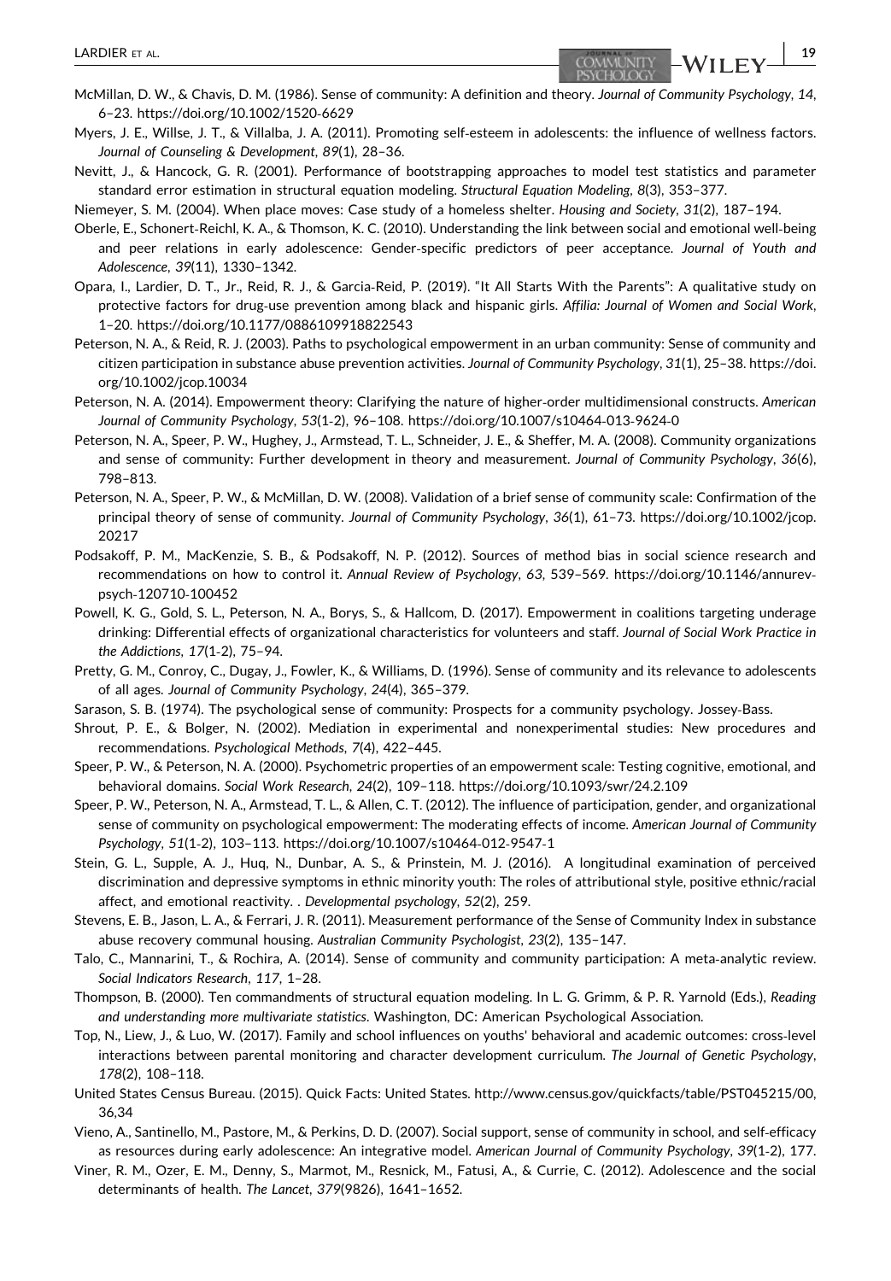- Myers, J. E., Willse, J. T., & Villalba, J. A. (2011). Promoting self‐esteem in adolescents: the influence of wellness factors. Journal of Counseling & Development, 89(1), 28–36.
- Nevitt, J., & Hancock, G. R. (2001). Performance of bootstrapping approaches to model test statistics and parameter standard error estimation in structural equation modeling. Structural Equation Modeling, 8(3), 353–377.

Niemeyer, S. M. (2004). When place moves: Case study of a homeless shelter. Housing and Society, 31(2), 187–194.

- Oberle, E., Schonert‐Reichl, K. A., & Thomson, K. C. (2010). Understanding the link between social and emotional well‐being and peer relations in early adolescence: Gender‐specific predictors of peer acceptance. Journal of Youth and Adolescence, 39(11), 1330–1342.
- Opara, I., Lardier, D. T., Jr., Reid, R. J., & Garcia‐Reid, P. (2019). "It All Starts With the Parents": A qualitative study on protective factors for drug-use prevention among black and hispanic girls. Affilia: Journal of Women and Social Work, 1–20.<https://doi.org/10.1177/0886109918822543>
- Peterson, N. A., & Reid, R. J. (2003). Paths to psychological empowerment in an urban community: Sense of community and citizen participation in substance abuse prevention activities. Journal of Community Psychology, 31(1), 25–38. [https://doi.](https://doi.org/10.1002/jcop.10034) [org/10.1002/jcop.10034](https://doi.org/10.1002/jcop.10034)
- Peterson, N. A. (2014). Empowerment theory: Clarifying the nature of higher-order multidimensional constructs. American Journal of Community Psychology, 53(1‐2), 96–108. [https://doi.org/10.1007/s10464](https://doi.org/10.1007/s10464-013-9624-0)‐013‐9624‐0
- Peterson, N. A., Speer, P. W., Hughey, J., Armstead, T. L., Schneider, J. E., & Sheffer, M. A. (2008). Community organizations and sense of community: Further development in theory and measurement. Journal of Community Psychology, 36(6), 798–813.
- Peterson, N. A., Speer, P. W., & McMillan, D. W. (2008). Validation of a brief sense of community scale: Confirmation of the principal theory of sense of community. Journal of Community Psychology, 36(1), 61–73. [https://doi.org/10.1002/jcop.](https://doi.org/10.1002/jcop.20217) [20217](https://doi.org/10.1002/jcop.20217)
- Podsakoff, P. M., MacKenzie, S. B., & Podsakoff, N. P. (2012). Sources of method bias in social science research and recommendations on how to control it. Annual Review of Psychology, 63, 539-569. [https://doi.org/10.1146/annurev](https://doi.org/http://dx.org/10.1146/annurev-psych-120710-100452)psych‐[120710](https://doi.org/http://dx.org/10.1146/annurev-psych-120710-100452)‐100452
- Powell, K. G., Gold, S. L., Peterson, N. A., Borys, S., & Hallcom, D. (2017). Empowerment in coalitions targeting underage drinking: Differential effects of organizational characteristics for volunteers and staff. Journal of Social Work Practice in the Addictions, 17(1‐2), 75–94.
- Pretty, G. M., Conroy, C., Dugay, J., Fowler, K., & Williams, D. (1996). Sense of community and its relevance to adolescents of all ages. Journal of Community Psychology, 24(4), 365–379.
- Sarason, S. B. (1974). The psychological sense of community: Prospects for a community psychology. Jossey‐Bass.
- Shrout, P. E., & Bolger, N. (2002). Mediation in experimental and nonexperimental studies: New procedures and recommendations. Psychological Methods, 7(4), 422–445.
- Speer, P. W., & Peterson, N. A. (2000). Psychometric properties of an empowerment scale: Testing cognitive, emotional, and behavioral domains. Social Work Research, 24(2), 109–118.<https://doi.org/10.1093/swr/24.2.109>
- Speer, P. W., Peterson, N. A., Armstead, T. L., & Allen, C. T. (2012). The influence of participation, gender, and organizational sense of community on psychological empowerment: The moderating effects of income. American Journal of Community Psychology, 51(1‐2), 103–113. [https://doi.org/10.1007/s10464](https://doi.org/10.1007/s10464-012-9547-1)‐012‐9547‐1
- Stein, G. L., Supple, A. J., Huq, N., Dunbar, A. S., & Prinstein, M. J. (2016). A longitudinal examination of perceived discrimination and depressive symptoms in ethnic minority youth: The roles of attributional style, positive ethnic/racial affect, and emotional reactivity. . Developmental psychology, 52(2), 259.
- Stevens, E. B., Jason, L. A., & Ferrari, J. R. (2011). Measurement performance of the Sense of Community Index in substance abuse recovery communal housing. Australian Community Psychologist, 23(2), 135–147.
- Talo, C., Mannarini, T., & Rochira, A. (2014). Sense of community and community participation: A meta-analytic review. Social Indicators Research, 117, 1–28.
- Thompson, B. (2000). Ten commandments of structural equation modeling. In L. G. Grimm, & P. R. Yarnold (Eds.), Reading and understanding more multivariate statistics. Washington, DC: American Psychological Association.
- Top, N., Liew, J., & Luo, W. (2017). Family and school influences on youths' behavioral and academic outcomes: cross‐level interactions between parental monitoring and character development curriculum. The Journal of Genetic Psychology, 178(2), 108–118.
- United States Census Bureau. (2015). Quick Facts: United States. [http://www.census.gov/quickfacts/table/PST045215/00,](https://doi.org/http://www.census.gov/quickfacts/table/PST045215/00,36,34) [36,34](https://doi.org/http://www.census.gov/quickfacts/table/PST045215/00,36,34)
- Vieno, A., Santinello, M., Pastore, M., & Perkins, D. D. (2007). Social support, sense of community in school, and self‐efficacy as resources during early adolescence: An integrative model. American Journal of Community Psychology, 39(1‐2), 177.
- Viner, R. M., Ozer, E. M., Denny, S., Marmot, M., Resnick, M., Fatusi, A., & Currie, C. (2012). Adolescence and the social determinants of health. The Lancet, 379(9826), 1641–1652.